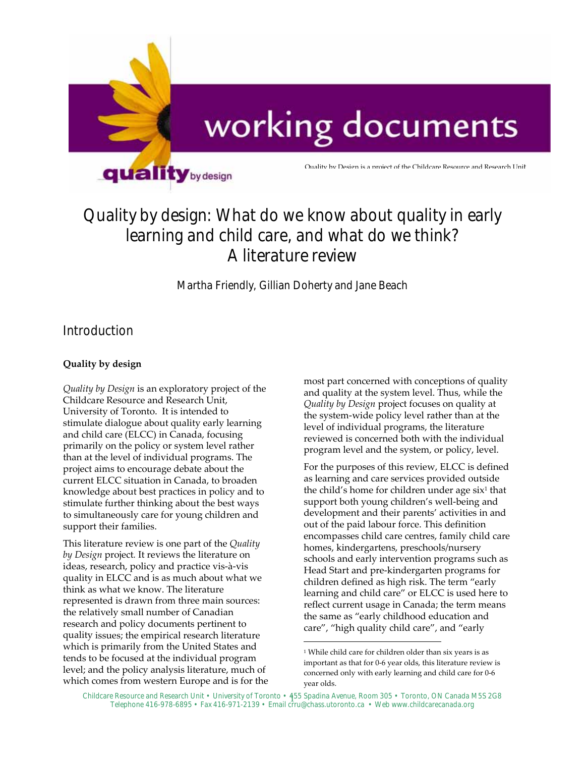

# Quality by design: What do we know about quality in early learning and child care, and what do we think? A literature review

Martha Friendly, Gillian Doherty and Jane Beach

## Introduction

## **Quality by design**

*Quality by Design* is an exploratory project of the Childcare Resource and Research Unit, University of Toronto. It is intended to stimulate dialogue about quality early learning and child care (ELCC) in Canada, focusing primarily on the policy or system level rather than at the level of individual programs. The project aims to encourage debate about the current ELCC situation in Canada, to broaden knowledge about best practices in policy and to stimulate further thinking about the best ways to simultaneously care for young children and support their families.

This literature review is one part of the *Quality by Design* project*.* It reviews the literature on ideas, research, policy and practice vis‐à‐vis quality in ELCC and is as much about what we think as what we know. The literature represented is drawn from three main sources: the relatively small number of Canadian research and policy documents pertinent to quality issues; the empirical research literature which is primarily from the United States and tends to be focused at the individual program level; and the policy analysis literature, much of which comes from western Europe and is for the most part concerned with conceptions of quality and quality at the system level. Thus, while the *Quality by Design* project focuses on quality at the system‐wide policy level rather than at the level of individual programs, the literature reviewed is concerned both with the individual program level and the system, or policy, level.

For the purposes of this review, ELCC is defined as learning and care services provided outside the child's home for children under age  $six^1$  that support both young children's well‐being and development and their parents' activities in and out of the paid labour force. This definition encompasses child care centres, family child care homes, kindergartens, preschools/nursery schools and early intervention programs such as Head Start and pre‐kindergarten programs for children defined as high risk. The term "early learning and child care" or ELCC is used here to reflect current usage in Canada; the term means the same as "early childhood education and care", "high quality child care", and "early

<sup>&</sup>lt;sup>1</sup> While child care for children older than six years is as important as that for 0‐6 year olds, this literature review is concerned only with early learning and child care for 0‐6 year olds.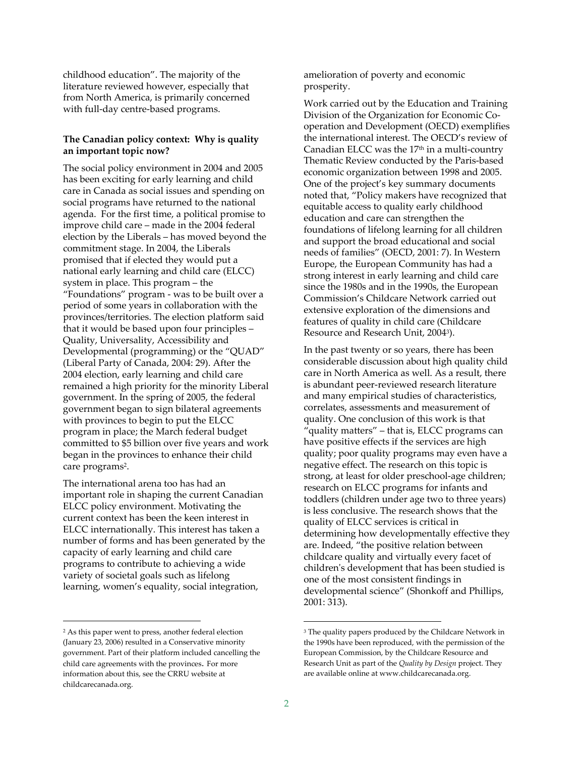childhood education". The majority of the literature reviewed however, especially that from North America, is primarily concerned with full-day centre-based programs.

#### **The Canadian policy context: Why is quality an important topic now?**

The social policy environment in 2004 and 2005 has been exciting for early learning and child care in Canada as social issues and spending on social programs have returned to the national agenda. For the first time, a political promise to improve child care – made in the 2004 federal election by the Liberals – has moved beyond the commitment stage. In 2004, the Liberals promised that if elected they would put a national early learning and child care (ELCC) system in place. This program – the "Foundations" program ‐ was to be built over a period of some years in collaboration with the provinces/territories. The election platform said that it would be based upon four principles – Quality, Universality, Accessibility and Developmental (programming) or the "QUAD" (Liberal Party of Canada, 2004: 29). After the 2004 election, early learning and child care remained a high priority for the minority Liberal government. In the spring of 2005, the federal government began to sign bilateral agreements with provinces to begin to put the ELCC program in place; the March federal budget committed to \$5 billion over five years and work began in the provinces to enhance their child care programs<sup>2</sup>.

The international arena too has had an important role in shaping the current Canadian ELCC policy environment. Motivating the current context has been the keen interest in ELCC internationally. This interest has taken a number of forms and has been generated by the capacity of early learning and child care programs to contribute to achieving a wide variety of societal goals such as lifelong learning, women's equality, social integration,

 $\overline{a}$ 

amelioration of poverty and economic prosperity.

Work carried out by the Education and Training Division of the Organization for Economic Co‐ operation and Development (OECD) exemplifies the international interest. The OECD's review of Canadian ELCC was the 17<sup>th</sup> in a multi-country Thematic Review conducted by the Paris‐based economic organization between 1998 and 2005. One of the project's key summary documents noted that, "Policy makers have recognized that equitable access to quality early childhood education and care can strengthen the foundations of lifelong learning for all children and support the broad educational and social needs of families" (OECD, 2001: 7). In Western Europe, the European Community has had a strong interest in early learning and child care since the 1980s and in the 1990s, the European Commission's Childcare Network carried out extensive exploration of the dimensions and features of quality in child care (Childcare Resource and Research Unit, 20043).

In the past twenty or so years, there has been considerable discussion about high quality child care in North America as well. As a result, there is abundant peer‐reviewed research literature and many empirical studies of characteristics, correlates, assessments and measurement of quality. One conclusion of this work is that "quality matters" – that is, ELCC programs can have positive effects if the services are high quality; poor quality programs may even have a negative effect. The research on this topic is strong, at least for older preschool‐age children; research on ELCC programs for infants and toddlers (children under age two to three years) is less conclusive. The research shows that the quality of ELCC services is critical in determining how developmentally effective they are. Indeed, "the positive relation between childcare quality and virtually every facet of childrenʹs development that has been studied is one of the most consistent findings in developmental science" (Shonkoff and Phillips, 2001: 313).

<sup>2</sup> As this paper went to press, another federal election (January 23, 2006) resulted in a Conservative minority government. Part of their platform included cancelling the child care agreements with the provinces. For more information about this, see the CRRU website at childcarecanada.org.

<sup>&</sup>lt;sup>3</sup> The quality papers produced by the Childcare Network in the 1990s have been reproduced, with the permission of the European Commission, by the Childcare Resource and Research Unit as part of the *Quality by Design* project. They are available online at www.childcarecanada.org.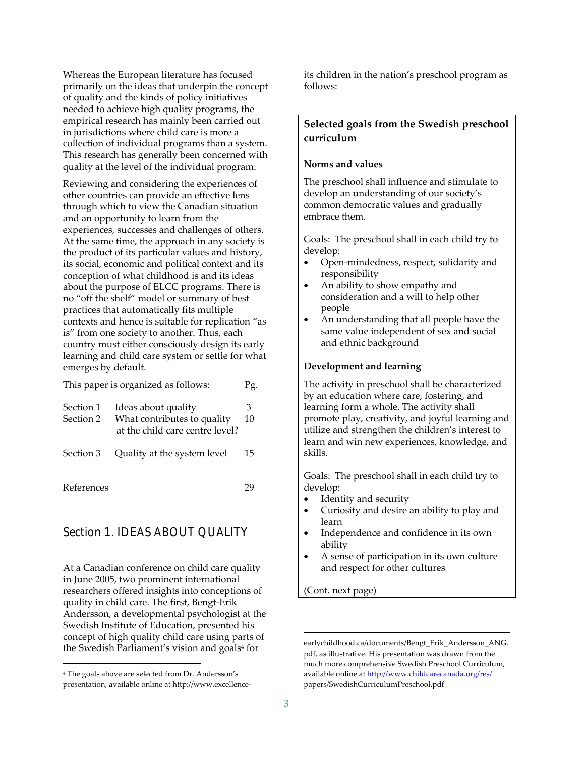Whereas the European literature has focused primarily on the ideas that underpin the concept of quality and the kinds of policy initiatives needed to achieve high quality programs, the empirical research has mainly been carried out in jurisdictions where child care is more a collection of individual programs than a system. This research has generally been concerned with quality at the level of the individual program.

Reviewing and considering the experiences of other countries can provide an effective lens through which to view the Canadian situation and an opportunity to learn from the experiences, successes and challenges of others. At the same time, the approach in any society is the product of its particular values and history, its social, economic and political context and its conception of what childhood is and its ideas about the purpose of ELCC programs. There is no "off the shelf" model or summary of best practices that automatically fits multiple contexts and hence is suitable for replication "as is" from one society to another. Thus, each country must either consciously design its early learning and child care system or settle for what emerges by default.

| This paper is organized as follows: |                                                                                       |         |  |
|-------------------------------------|---------------------------------------------------------------------------------------|---------|--|
| Section 1<br>Section 2              | Ideas about quality<br>What contributes to quality<br>at the child care centre level? | 3<br>10 |  |
| Section 3                           | Quality at the system level                                                           | 15      |  |

References 29

 $\overline{a}$ 

## Section 1. IDEAS ABOUT QUALITY

At a Canadian conference on child care quality in June 2005, two prominent international researchers offered insights into conceptions of quality in child care. The first, Bengt‐Erik Andersson, a developmental psychologist at the Swedish Institute of Education, presented his concept of high quality child care using parts of the Swedish Parliament's vision and goals<sup>4</sup> for

its children in the nation's preschool program as follows:

## **Selected goals from the Swedish preschool curriculum**

#### **Norms and values**

The preschool shall influence and stimulate to develop an understanding of our society's common democratic values and gradually embrace them.

Goals: The preschool shall in each child try to develop:

- Open‐mindedness, respect, solidarity and responsibility
- An ability to show empathy and consideration and a will to help other people
- An understanding that all people have the same value independent of sex and social and ethnic background

#### **Development and learning**

The activity in preschool shall be characterized by an education where care, fostering, and learning form a whole. The activity shall promote play, creativity, and joyful learning and utilize and strengthen the children's interest to learn and win new experiences, knowledge, and skills.

Goals: The preschool shall in each child try to develop:

- Identity and security
- Curiosity and desire an ability to play and learn
- Independence and confidence in its own ability
- A sense of participation in its own culture and respect for other cultures

(Cont. next page)

<sup>4</sup> The goals above are selected from Dr. Andersson's presentation, available online at http://www.excellence‐

earlychildhood.ca/documents/Bengt\_Erik\_Andersson\_ANG. pdf, as illustrative. His presentation was drawn from the much more comprehensive Swedish Preschool Curriculum, available online at http://www.childcarecanada.org/res/ papers/SwedishCurriculumPreschool.pdf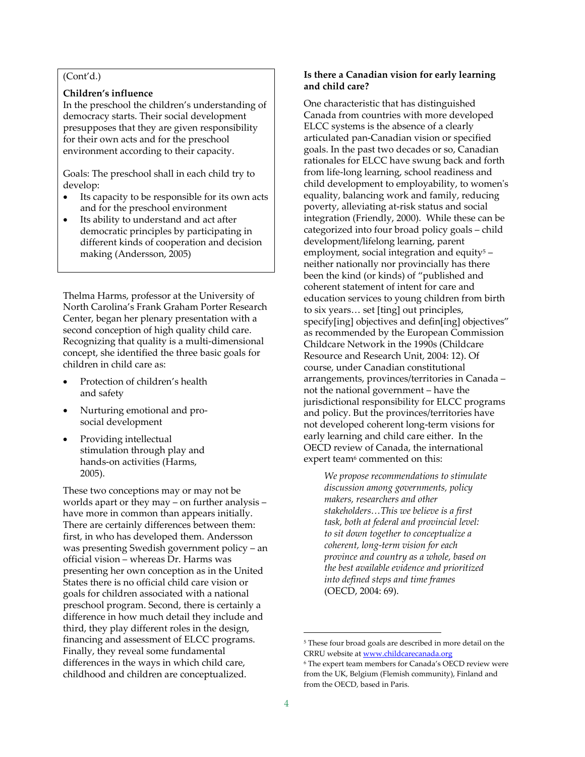#### (Cont'd.)

#### **Children's influence**

In the preschool the children's understanding of democracy starts. Their social development presupposes that they are given responsibility for their own acts and for the preschool environment according to their capacity.

Goals: The preschool shall in each child try to develop:

- Its capacity to be responsible for its own acts and for the preschool environment
- Its ability to understand and act after democratic principles by participating in different kinds of cooperation and decision making (Andersson, 2005)

Thelma Harms, professor at the University of North Carolina's Frank Graham Porter Research Center, began her plenary presentation with a second conception of high quality child care. Recognizing that quality is a multi‐dimensional concept, she identified the three basic goals for children in child care as:

- Protection of children's health and safety
- Nurturing emotional and pro‐ social development
- Providing intellectual stimulation through play and hands‐on activities (Harms, 2005).

These two conceptions may or may not be worlds apart or they may – on further analysis – have more in common than appears initially. There are certainly differences between them: first, in who has developed them. Andersson was presenting Swedish government policy – an official vision – whereas Dr. Harms was presenting her own conception as in the United States there is no official child care vision or goals for children associated with a national preschool program. Second, there is certainly a difference in how much detail they include and third, they play different roles in the design, financing and assessment of ELCC programs. Finally, they reveal some fundamental differences in the ways in which child care, childhood and children are conceptualized.

#### **Is there a Canadian vision for early learning and child care?**

One characteristic that has distinguished Canada from countries with more developed ELCC systems is the absence of a clearly articulated pan‐Canadian vision or specified goals. In the past two decades or so, Canadian rationales for ELCC have swung back and forth from life‐long learning, school readiness and child development to employability, to womenʹs equality, balancing work and family, reducing poverty, alleviating at‐risk status and social integration (Friendly, 2000). While these can be categorized into four broad policy goals – child development/lifelong learning, parent employment, social integration and equity<sup>5</sup> neither nationally nor provincially has there been the kind (or kinds) of "published and coherent statement of intent for care and education services to young children from birth to six years… set [ting] out principles, specify[ing] objectives and defin[ing] objectives" as recommended by the European Commission Childcare Network in the 1990s (Childcare Resource and Research Unit, 2004: 12). Of course, under Canadian constitutional arrangements, provinces/territories in Canada – not the national government – have the jurisdictional responsibility for ELCC programs and policy. But the provinces/territories have not developed coherent long‐term visions for early learning and child care either. In the OECD review of Canada, the international expert team<sup>6</sup> commented on this:

*We propose recommendations to stimulate discussion among governments, policy makers, researchers and other stakeholders…This we believe is a first task, both at federal and provincial level: to sit down together to conceptualize a coherent, long‐term vision for each province and country as a whole, based on the best available evidence and prioritized into defined steps and time frames* (OECD, 2004: 69).

<sup>5</sup> These four broad goals are described in more detail on the CRRU website at www.childcarecanada.org

<sup>6</sup> The expert team members for Canada's OECD review were from the UK, Belgium (Flemish community), Finland and from the OECD, based in Paris.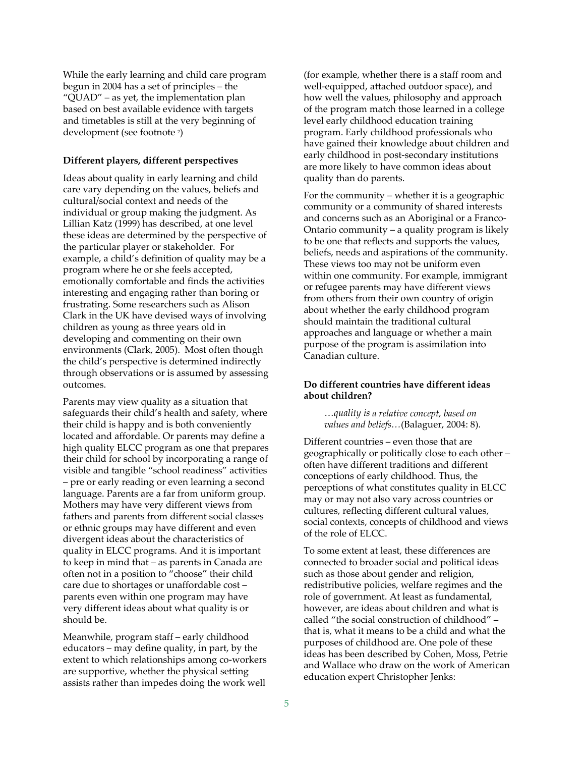While the early learning and child care program begun in 2004 has a set of principles – the "QUAD" – as yet, the implementation plan based on best available evidence with targets and timetables is still at the very beginning of development (see footnote 2)

#### **Different players, different perspectives**

Ideas about quality in early learning and child care vary depending on the values, beliefs and cultural/social context and needs of the individual or group making the judgment. As Lillian Katz (1999) has described, at one level these ideas are determined by the perspective of the particular player or stakeholder. For example, a child's definition of quality may be a program where he or she feels accepted, emotionally comfortable and finds the activities interesting and engaging rather than boring or frustrating. Some researchers such as Alison Clark in the UK have devised ways of involving children as young as three years old in developing and commenting on their own environments (Clark, 2005). Most often though the child's perspective is determined indirectly through observations or is assumed by assessing outcomes.

Parents may view quality as a situation that safeguards their child's health and safety, where their child is happy and is both conveniently located and affordable. Or parents may define a high quality ELCC program as one that prepares their child for school by incorporating a range of visible and tangible "school readiness" activities – pre or early reading or even learning a second language. Parents are a far from uniform group. Mothers may have very different views from fathers and parents from different social classes or ethnic groups may have different and even divergent ideas about the characteristics of quality in ELCC programs. And it is important to keep in mind that – as parents in Canada are often not in a position to "choose" their child care due to shortages or unaffordable cost – parents even within one program may have very different ideas about what quality is or should be.

Meanwhile, program staff – early childhood educators – may define quality, in part, by the extent to which relationships among co-workers are supportive, whether the physical setting assists rather than impedes doing the work well

(for example, whether there is a staff room and well‐equipped, attached outdoor space), and how well the values, philosophy and approach of the program match those learned in a college level early childhood education training program. Early childhood professionals who have gained their knowledge about children and early childhood in post-secondary institutions are more likely to have common ideas about quality than do parents.

For the community – whether it is a geographic community or a community of shared interests and concerns such as an Aboriginal or a Franco‐ Ontario community – a quality program is likely to be one that reflects and supports the values, beliefs, needs and aspirations of the community. These views too may not be uniform even within one community. For example, immigrant or refugee parents may have different views from others from their own country of origin about whether the early childhood program should maintain the traditional cultural approaches and language or whether a main purpose of the program is assimilation into Canadian culture.

#### **Do different countries have different ideas about children?**

…*quality is a relative concept, based on values and beliefs…*(Balaguer, 2004: 8).

Different countries – even those that are geographically or politically close to each other – often have different traditions and different conceptions of early childhood. Thus, the perceptions of what constitutes quality in ELCC may or may not also vary across countries or cultures, reflecting different cultural values, social contexts, concepts of childhood and views of the role of ELCC.

To some extent at least, these differences are connected to broader social and political ideas such as those about gender and religion, redistributive policies, welfare regimes and the role of government. At least as fundamental, however, are ideas about children and what is called "the social construction of childhood" – that is, what it means to be a child and what the purposes of childhood are. One pole of these ideas has been described by Cohen, Moss, Petrie and Wallace who draw on the work of American education expert Christopher Jenks: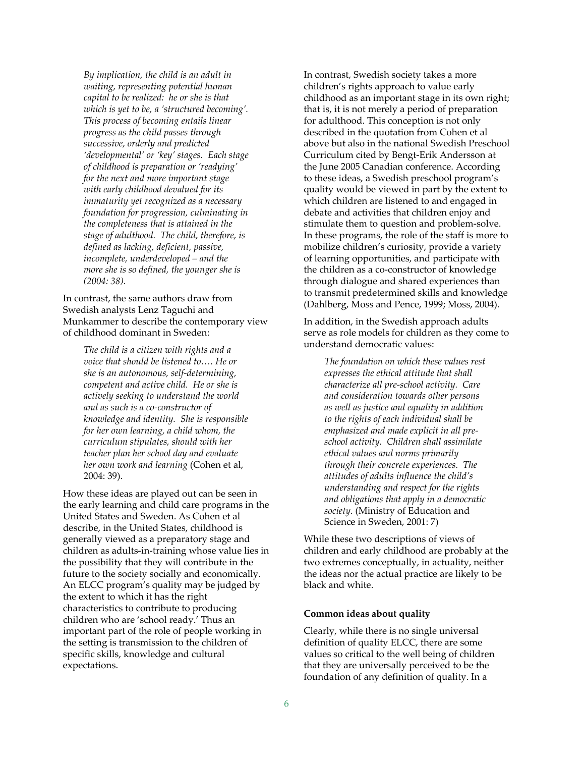*By implication, the child is an adult in waiting, representing potential human capital to be realized: he or she is that which is yet to be, a 'structured becoming'. This process of becoming entails linear progress as the child passes through successive, orderly and predicted 'developmental' or 'key' stages. Each stage of childhood is preparation or 'readying' for the next and more important stage with early childhood devalued for its immaturity yet recognized as a necessary foundation for progression, culminating in the completeness that is attained in the stage of adulthood. The child, therefore, is defined as lacking, deficient, passive, incomplete, underdeveloped – and the more she is so defined, the younger she is (2004: 38).* 

In contrast, the same authors draw from Swedish analysts Lenz Taguchi and Munkammer to describe the contemporary view of childhood dominant in Sweden:

*The child is a citizen with rights and a voice that should be listened to…. He or she is an autonomous, self‐determining, competent and active child. He or she is actively seeking to understand the world and as such is a co‐constructor of knowledge and identity. She is responsible for her own learning, a child whom, the curriculum stipulates, should with her teacher plan her school day and evaluate her own work and learning* (Cohen et al, 2004: 39).

How these ideas are played out can be seen in the early learning and child care programs in the United States and Sweden. As Cohen et al describe, in the United States, childhood is generally viewed as a preparatory stage and children as adults‐in‐training whose value lies in the possibility that they will contribute in the future to the society socially and economically. An ELCC program's quality may be judged by the extent to which it has the right characteristics to contribute to producing children who are 'school ready.' Thus an important part of the role of people working in the setting is transmission to the children of specific skills, knowledge and cultural expectations.

In contrast, Swedish society takes a more children's rights approach to value early childhood as an important stage in its own right; that is, it is not merely a period of preparation for adulthood. This conception is not only described in the quotation from Cohen et al above but also in the national Swedish Preschool Curriculum cited by Bengt‐Erik Andersson at the June 2005 Canadian conference. According to these ideas, a Swedish preschool program's quality would be viewed in part by the extent to which children are listened to and engaged in debate and activities that children enjoy and stimulate them to question and problem‐solve. In these programs, the role of the staff is more to mobilize children's curiosity, provide a variety of learning opportunities, and participate with the children as a co‐constructor of knowledge through dialogue and shared experiences than to transmit predetermined skills and knowledge (Dahlberg, Moss and Pence, 1999; Moss, 2004).

In addition, in the Swedish approach adults serve as role models for children as they come to understand democratic values:

*The foundation on which these values rest expresses the ethical attitude that shall characterize all pre‐school activity. Care and consideration towards other persons as well as justice and equality in addition to the rights of each individual shall be emphasized and made explicit in all pre‐ school activity. Children shall assimilate ethical values and norms primarily through their concrete experiences. The attitudes of adults influence the child's understanding and respect for the rights and obligations that apply in a democratic society.* (Ministry of Education and Science in Sweden, 2001: 7)

While these two descriptions of views of children and early childhood are probably at the two extremes conceptually, in actuality, neither the ideas nor the actual practice are likely to be black and white.

#### **Common ideas about quality**

Clearly, while there is no single universal definition of quality ELCC, there are some values so critical to the well being of children that they are universally perceived to be the foundation of any definition of quality. In a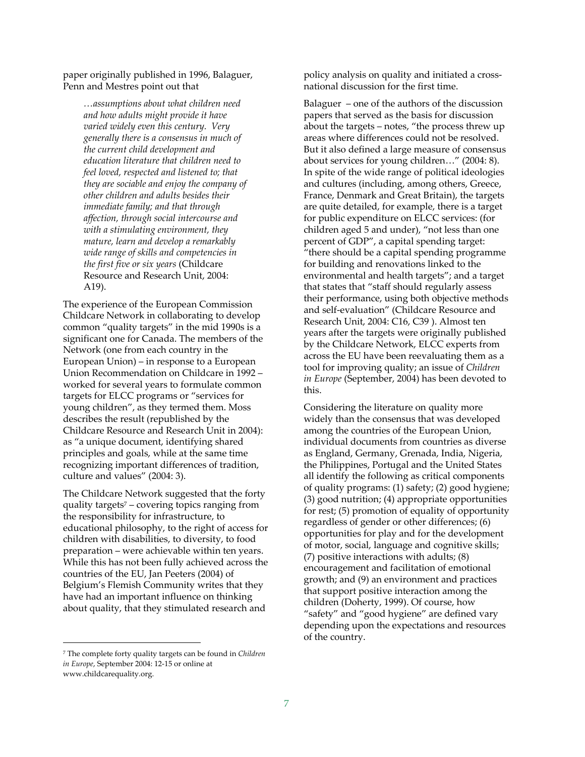paper originally published in 1996, Balaguer, Penn and Mestres point out that

> *…assumptions about what children need and how adults might provide it have varied widely even this century. Very generally there is a consensus in much of the current child development and education literature that children need to feel loved, respected and listened to; that they are sociable and enjoy the company of other children and adults besides their immediate family; and that through affection, through social intercourse and with a stimulating environment, they mature, learn and develop a remarkably wide range of skills and competencies in the first five or six years* (Childcare Resource and Research Unit, 2004: A19).

The experience of the European Commission Childcare Network in collaborating to develop common "quality targets" in the mid 1990s is a significant one for Canada. The members of the Network (one from each country in the European Union) – in response to a European Union Recommendation on Childcare in 1992 – worked for several years to formulate common targets for ELCC programs or "services for young children", as they termed them. Moss describes the result (republished by the Childcare Resource and Research Unit in 2004): as "a unique document, identifying shared principles and goals, while at the same time recognizing important differences of tradition, culture and values" (2004: 3).

The Childcare Network suggested that the forty quality targets7 – covering topics ranging from the responsibility for infrastructure, to educational philosophy, to the right of access for children with disabilities, to diversity, to food preparation – were achievable within ten years. While this has not been fully achieved across the countries of the EU, Jan Peeters (2004) of Belgium's Flemish Community writes that they have had an important influence on thinking about quality, that they stimulated research and

<sup>7</sup> The complete forty quality targets can be found in *Children in Europe*, September 2004: 12‐15 or online at www.childcarequality.org.

 $\overline{a}$ 

policy analysis on quality and initiated a cross‐ national discussion for the first time.

Balaguer  $-$  one of the authors of the discussion papers that served as the basis for discussion about the targets – notes, "the process threw up areas where differences could not be resolved. But it also defined a large measure of consensus about services for young children…" (2004: 8). In spite of the wide range of political ideologies and cultures (including, among others, Greece, France, Denmark and Great Britain), the targets are quite detailed, for example, there is a target for public expenditure on ELCC services: (for children aged 5 and under), "not less than one percent of GDP", a capital spending target: "there should be a capital spending programme for building and renovations linked to the environmental and health targets"; and a target that states that "staff should regularly assess their performance, using both objective methods and self‐evaluation" (Childcare Resource and Research Unit, 2004: C16, C39 ). Almost ten years after the targets were originally published by the Childcare Network, ELCC experts from across the EU have been reevaluating them as a tool for improving quality; an issue of *Children in Europe* (September, 2004) has been devoted to this.

Considering the literature on quality more widely than the consensus that was developed among the countries of the European Union, individual documents from countries as diverse as England, Germany, Grenada, India, Nigeria, the Philippines, Portugal and the United States all identify the following as critical components of quality programs: (1) safety; (2) good hygiene; (3) good nutrition; (4) appropriate opportunities for rest; (5) promotion of equality of opportunity regardless of gender or other differences; (6) opportunities for play and for the development of motor, social, language and cognitive skills; (7) positive interactions with adults; (8) encouragement and facilitation of emotional growth; and (9) an environment and practices that support positive interaction among the children (Doherty, 1999). Of course, how "safety" and "good hygiene" are defined vary depending upon the expectations and resources of the country.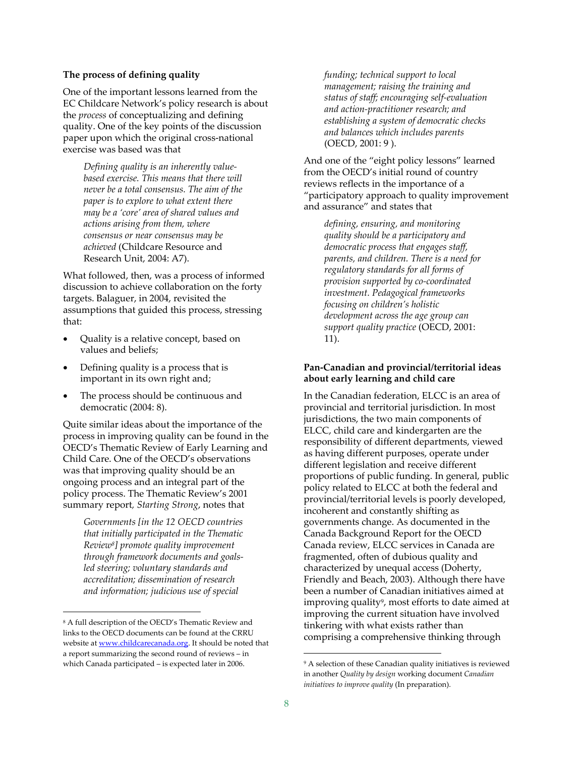#### **The process of defining quality**

One of the important lessons learned from the EC Childcare Network's policy research is about the *process* of conceptualizing and defining quality. One of the key points of the discussion paper upon which the original cross‐national exercise was based was that

*Defining quality is an inherently value‐ based exercise. This means that there will never be a total consensus. The aim of the paper is to explore to what extent there may be a 'core' area of shared values and actions arising from them, where consensus or near consensus may be achieved* (Childcare Resource and Research Unit, 2004: A7).

What followed, then, was a process of informed discussion to achieve collaboration on the forty targets. Balaguer, in 2004, revisited the assumptions that guided this process, stressing that:

- Quality is a relative concept, based on values and beliefs;
- Defining quality is a process that is important in its own right and;
- The process should be continuous and democratic (2004: 8).

Quite similar ideas about the importance of the process in improving quality can be found in the OECD's Thematic Review of Early Learning and Child Care. One of the OECD's observations was that improving quality should be an ongoing process and an integral part of the policy process. The Thematic Review's 2001 summary report*, Starting Strong*, notes that

*Governments [in the 12 OECD countries that initially participated in the Thematic Review8] promote quality improvement through framework documents and goals‐ led steering; voluntary standards and accreditation; dissemination of research and information; judicious use of special*

 $\overline{a}$ 

*funding; technical support to local management; raising the training and status of staff; encouraging self‐evaluation and action‐practitioner research; and establishing a system of democratic checks and balances which includes parents*  (OECD, 2001: 9 ).

And one of the "eight policy lessons" learned from the OECD's initial round of country reviews reflects in the importance of a "participatory approach to quality improvement and assurance" and states that

*defining, ensuring, and monitoring quality should be a participatory and democratic process that engages staff, parents, and children. There is a need for regulatory standards for all forms of provision supported by co‐coordinated investment. Pedagogical frameworks focusing on children's holistic development across the age group can support quality practice* (OECD, 2001: 11).

#### **Pan‐Canadian and provincial/territorial ideas about early learning and child care**

In the Canadian federation, ELCC is an area of provincial and territorial jurisdiction. In most jurisdictions, the two main components of ELCC, child care and kindergarten are the responsibility of different departments, viewed as having different purposes, operate under different legislation and receive different proportions of public funding. In general, public policy related to ELCC at both the federal and provincial/territorial levels is poorly developed, incoherent and constantly shifting as governments change. As documented in the Canada Background Report for the OECD Canada review, ELCC services in Canada are fragmented, often of dubious quality and characterized by unequal access (Doherty, Friendly and Beach, 2003). Although there have been a number of Canadian initiatives aimed at improving quality<sup>9</sup>, most efforts to date aimed at improving the current situation have involved tinkering with what exists rather than comprising a comprehensive thinking through

<sup>8</sup> A full description of the OECD's Thematic Review and links to the OECD documents can be found at the CRRU website at www.childcarecanada.org. It should be noted that a report summarizing the second round of reviews – in which Canada participated – is expected later in 2006.

<sup>&</sup>lt;sup>9</sup> A selection of these Canadian quality initiatives is reviewed in another *Quality by design* working document *Canadian initiatives to improve quality* (In preparation).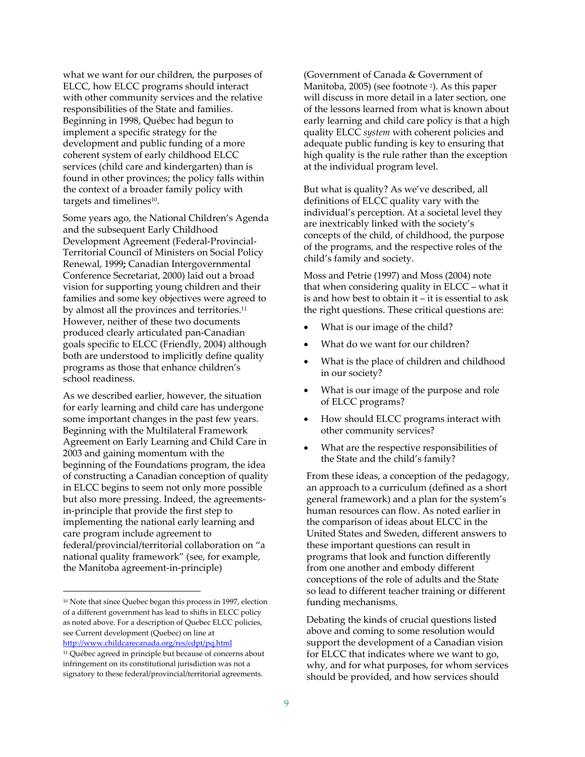what we want for our children, the purposes of ELCC, how ELCC programs should interact with other community services and the relative responsibilities of the State and families. Beginning in 1998, Québec had begun to implement a specific strategy for the development and public funding of a more coherent system of early childhood ELCC services (child care and kindergarten) than is found in other provinces; the policy falls within the context of a broader family policy with targets and timelines<sup>10</sup>.

Some years ago, the National Children's Agenda and the subsequent Early Childhood Development Agreement (Federal‐Provincial‐ Territorial Council of Ministers on Social Policy Renewal, 1999**;** Canadian Intergovernmental Conference Secretariat, 2000) laid out a broad vision for supporting young children and their families and some key objectives were agreed to by almost all the provinces and territories.<sup>11</sup> However, neither of these two documents produced clearly articulated pan‐Canadian goals specific to ELCC (Friendly, 2004) although both are understood to implicitly define quality programs as those that enhance children's school readiness.

As we described earlier, however, the situation for early learning and child care has undergone some important changes in the past few years. Beginning with the Multilateral Framework Agreement on Early Learning and Child Care in 2003 and gaining momentum with the beginning of the Foundations program, the idea of constructing a Canadian conception of quality in ELCC begins to seem not only more possible but also more pressing. Indeed, the agreements‐ in‐principle that provide the first step to implementing the national early learning and care program include agreement to federal/provincial/territorial collaboration on "a national quality framework" (see, for example, the Manitoba agreement‐in‐principle)

 $\overline{a}$ 

(Government of Canada & Government of Manitoba, 2005) (see footnote<sup>2</sup>). As this paper will discuss in more detail in a later section, one of the lessons learned from what is known about early learning and child care policy is that a high quality ELCC *system* with coherent policies and adequate public funding is key to ensuring that high quality is the rule rather than the exception at the individual program level.

But what is quality? As we've described, all definitions of ELCC quality vary with the individual's perception. At a societal level they are inextricably linked with the society's concepts of the child, of childhood, the purpose of the programs, and the respective roles of the child's family and society.

Moss and Petrie (1997) and Moss (2004) note that when considering quality in ELCC – what it is and how best to obtain it – it is essential to ask the right questions. These critical questions are:

- What is our image of the child?
- What do we want for our children?
- What is the place of children and childhood in our society?
- What is our image of the purpose and role of ELCC programs?
- How should ELCC programs interact with other community services?
- What are the respective responsibilities of the State and the child's family?

From these ideas, a conception of the pedagogy, an approach to a curriculum (defined as a short general framework) and a plan for the system's human resources can flow. As noted earlier in the comparison of ideas about ELCC in the United States and Sweden, different answers to these important questions can result in programs that look and function differently from one another and embody different conceptions of the role of adults and the State so lead to different teacher training or different funding mechanisms.

Debating the kinds of crucial questions listed above and coming to some resolution would support the development of a Canadian vision for ELCC that indicates where we want to go, why, and for what purposes, for whom services should be provided, and how services should

<sup>&</sup>lt;sup>10</sup> Note that since Quebec began this process in 1997, election of a different government has lead to shifts in ELCC policy as noted above. For a description of Quebec ELCC policies, see Current development (Quebec) on line at http://www.childcarecanada.org/res/cdpt/pq.html

<sup>11</sup> Québec agreed in principle but because of concerns about infringement on its constitutional jurisdiction was not a signatory to these federal/provincial/territorial agreements.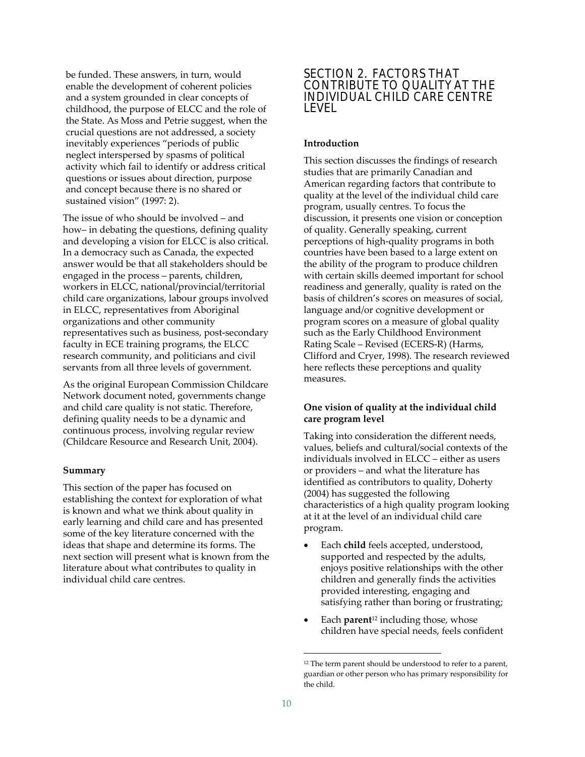be funded. These answers, in turn, would enable the development of coherent policies and a system grounded in clear concepts of childhood, the purpose of ELCC and the role of the State. As Moss and Petrie suggest, when the crucial questions are not addressed, a society inevitably experiences "periods of public neglect interspersed by spasms of political activity which fail to identify or address critical questions or issues about direction, purpose and concept because there is no shared or sustained vision" (1997: 2).

The issue of who should be involved – and how– in debating the questions, defining quality and developing a vision for ELCC is also critical. In a democracy such as Canada, the expected answer would be that all stakeholders should be engaged in the process – parents, children, workers in ELCC, national/provincial/territorial child care organizations, labour groups involved in ELCC, representatives from Aboriginal organizations and other community representatives such as business, post‐secondary faculty in ECE training programs, the ELCC research community, and politicians and civil servants from all three levels of government.

As the original European Commission Childcare Network document noted, governments change and child care quality is not static. Therefore, defining quality needs to be a dynamic and continuous process, involving regular review (Childcare Resource and Research Unit, 2004).

#### **Summary**

This section of the paper has focused on establishing the context for exploration of what is known and what we think about quality in early learning and child care and has presented some of the key literature concerned with the ideas that shape and determine its forms. The next section will present what is known from the literature about what contributes to quality in individual child care centres.

## SECTION 2. FACTORS THAT CONTRIBUTE TO QUALITY AT THE INDIVIDUAL CHILD CARE CENTRE LEVEL

#### **Introduction**

This section discusses the findings of research studies that are primarily Canadian and American regarding factors that contribute to quality at the level of the individual child care program, usually centres. To focus the discussion, it presents one vision or conception of quality. Generally speaking, current perceptions of high‐quality programs in both countries have been based to a large extent on the ability of the program to produce children with certain skills deemed important for school readiness and generally, quality is rated on the basis of children's scores on measures of social, language and/or cognitive development or program scores on a measure of global quality such as the Early Childhood Environment Rating Scale – Revised (ECERS‐R) (Harms, Clifford and Cryer, 1998). The research reviewed here reflects these perceptions and quality measures.

#### **One vision of quality at the individual child care program level**

Taking into consideration the different needs, values, beliefs and cultural/social contexts of the individuals involved in ELCC – either as users or providers – and what the literature has identified as contributors to quality, Doherty (2004) has suggested the following characteristics of a high quality program looking at it at the level of an individual child care program.

- Each **child** feels accepted, understood, supported and respected by the adults, enjoys positive relationships with the other children and generally finds the activities provided interesting, engaging and satisfying rather than boring or frustrating;
- Each **parent**<sup>12</sup> including those, whose children have special needs, feels confident

<sup>&</sup>lt;sup>12</sup> The term parent should be understood to refer to a parent, guardian or other person who has primary responsibility for the child.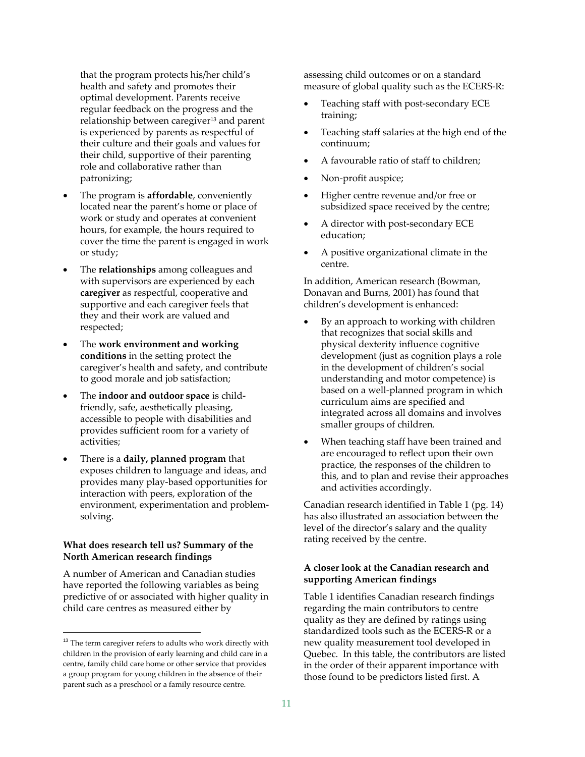that the program protects his/her child's health and safety and promotes their optimal development. Parents receive regular feedback on the progress and the relationship between caregiver<sup>13</sup> and parent is experienced by parents as respectful of their culture and their goals and values for their child, supportive of their parenting role and collaborative rather than patronizing;

- The program is **affordable**, conveniently located near the parent's home or place of work or study and operates at convenient hours, for example, the hours required to cover the time the parent is engaged in work or study;
- The **relationships** among colleagues and with supervisors are experienced by each **caregiver** as respectful, cooperative and supportive and each caregiver feels that they and their work are valued and respected;
- The **work environment and working conditions** in the setting protect the caregiver's health and safety, and contribute to good morale and job satisfaction;
- The **indoor and outdoor space** is child‐ friendly, safe, aesthetically pleasing, accessible to people with disabilities and provides sufficient room for a variety of activities;
- There is a **daily, planned program** that exposes children to language and ideas, and provides many play‐based opportunities for interaction with peers, exploration of the environment, experimentation and problem‐ solving.

#### **What does research tell us? Summary of the North American research findings**

A number of American and Canadian studies have reported the following variables as being predictive of or associated with higher quality in child care centres as measured either by

 $\overline{a}$ 

assessing child outcomes or on a standard measure of global quality such as the ECERS‐R:

- Teaching staff with post‐secondary ECE training;
- Teaching staff salaries at the high end of the continuum;
- A favourable ratio of staff to children;
- Non‐profit auspice;
- Higher centre revenue and/or free or subsidized space received by the centre;
- A director with post-secondary ECE education;
- A positive organizational climate in the centre.

In addition, American research (Bowman, Donavan and Burns, 2001) has found that children's development is enhanced:

- By an approach to working with children that recognizes that social skills and physical dexterity influence cognitive development (just as cognition plays a role in the development of children's social understanding and motor competence) is based on a well‐planned program in which curriculum aims are specified and integrated across all domains and involves smaller groups of children.
- When teaching staff have been trained and are encouraged to reflect upon their own practice, the responses of the children to this, and to plan and revise their approaches and activities accordingly.

Canadian research identified in Table 1 (pg. 14) has also illustrated an association between the level of the director's salary and the quality rating received by the centre.

#### **A closer look at the Canadian research and supporting American findings**

Table 1 identifies Canadian research findings regarding the main contributors to centre quality as they are defined by ratings using standardized tools such as the ECERS‐R or a new quality measurement tool developed in Quebec. In this table, the contributors are listed in the order of their apparent importance with those found to be predictors listed first. A

 $13$  The term caregiver refers to adults who work directly with children in the provision of early learning and child care in a centre, family child care home or other service that provides a group program for young children in the absence of their parent such as a preschool or a family resource centre.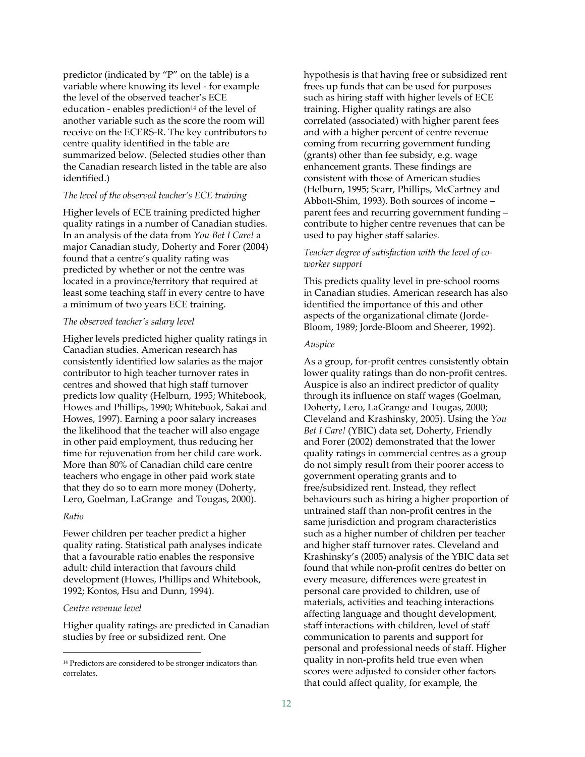predictor (indicated by "P" on the table) is a variable where knowing its level ‐ for example the level of the observed teacher's ECE education - enables prediction<sup>14</sup> of the level of another variable such as the score the room will receive on the ECERS‐R. The key contributors to centre quality identified in the table are summarized below. (Selected studies other than the Canadian research listed in the table are also identified.)

#### *The level of the observed teacher's ECE training*

Higher levels of ECE training predicted higher quality ratings in a number of Canadian studies. In an analysis of the data from *You Bet I Care!* a major Canadian study, Doherty and Forer (2004) found that a centre's quality rating was predicted by whether or not the centre was located in a province/territory that required at least some teaching staff in every centre to have a minimum of two years ECE training.

#### *The observed teacher's salary level*

Higher levels predicted higher quality ratings in Canadian studies. American research has consistently identified low salaries as the major contributor to high teacher turnover rates in centres and showed that high staff turnover predicts low quality (Helburn, 1995; Whitebook, Howes and Phillips, 1990; Whitebook, Sakai and Howes, 1997). Earning a poor salary increases the likelihood that the teacher will also engage in other paid employment, thus reducing her time for rejuvenation from her child care work. More than 80% of Canadian child care centre teachers who engage in other paid work state that they do so to earn more money (Doherty, Lero, Goelman, LaGrange and Tougas, 2000).

#### *Ratio*

 $\overline{a}$ 

Fewer children per teacher predict a higher quality rating. Statistical path analyses indicate that a favourable ratio enables the responsive adult: child interaction that favours child development (Howes, Phillips and Whitebook, 1992; Kontos, Hsu and Dunn, 1994).

#### *Centre revenue level*

Higher quality ratings are predicted in Canadian studies by free or subsidized rent. One

hypothesis is that having free or subsidized rent frees up funds that can be used for purposes such as hiring staff with higher levels of ECE training. Higher quality ratings are also correlated (associated) with higher parent fees and with a higher percent of centre revenue coming from recurring government funding (grants) other than fee subsidy, e.g. wage enhancement grants. These findings are consistent with those of American studies (Helburn, 1995; Scarr, Phillips, McCartney and Abbott‐Shim, 1993). Both sources of income – parent fees and recurring government funding – contribute to higher centre revenues that can be used to pay higher staff salarie*s.* 

#### *Teacher degree of satisfaction with the level of co‐ worker support*

This predicts quality level in pre‐school rooms in Canadian studies. American research has also identified the importance of this and other aspects of the organizational climate (Jorde‐ Bloom, 1989; Jorde‐Bloom and Sheerer, 1992).

#### *Auspice*

As a group, for-profit centres consistently obtain lower quality ratings than do non‐profit centres. Auspice is also an indirect predictor of quality through its influence on staff wages (Goelman, Doherty, Lero, LaGrange and Tougas, 2000; Cleveland and Krashinsky, 2005). Using the *You Bet I Care!* (YBIC) data set, Doherty, Friendly and Forer (2002) demonstrated that the lower quality ratings in commercial centres as a group do not simply result from their poorer access to government operating grants and to free/subsidized rent. Instead, they reflect behaviours such as hiring a higher proportion of untrained staff than non‐profit centres in the same jurisdiction and program characteristics such as a higher number of children per teacher and higher staff turnover rates. Cleveland and Krashinsky's (2005) analysis of the YBIC data set found that while non‐profit centres do better on every measure, differences were greatest in personal care provided to children, use of materials, activities and teaching interactions affecting language and thought development, staff interactions with children, level of staff communication to parents and support for personal and professional needs of staff. Higher quality in non‐profits held true even when scores were adjusted to consider other factors that could affect quality, for example, the

<sup>&</sup>lt;sup>14</sup> Predictors are considered to be stronger indicators than correlates.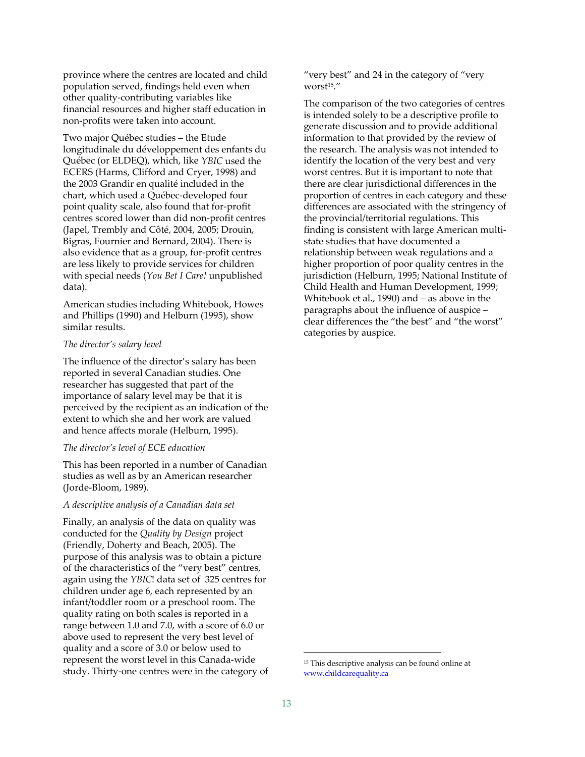province where the centres are located and child population served, findings held even when other quality‐contributing variables like financial resources and higher staff education in non‐profits were taken into account.

Two major Québec studies – the Etude longitudinale du développement des enfants du Québec (or ELDEQ), which, like *YBIC* used the ECERS (Harms, Clifford and Cryer, 1998) and the 2003 Grandir en qualité included in the chart, which used a Québec‐developed four point quality scale, also found that for‐profit centres scored lower than did non‐profit centres (Japel, Trembly and Côté, 2004, 2005; Drouin, Bigras, Fournier and Bernard, 2004). There is also evidence that as a group, for‐profit centres are less likely to provide services for children with special needs (*You Bet I Care!* unpublished data).

American studies including Whitebook, Howes and Phillips (1990) and Helburn (1995), show similar results.

#### *The director's salary level*

The influence of the director's salary has been reported in several Canadian studies. One researcher has suggested that part of the importance of salary level may be that it is perceived by the recipient as an indication of the extent to which she and her work are valued and hence affects morale (Helburn, 1995).

#### *The director's level of ECE education*

This has been reported in a number of Canadian studies as well as by an American researcher (Jorde‐Bloom, 1989).

#### *A descriptive analysis of a Canadian data set*

Finally, an analysis of the data on quality was conducted for the *Quality by Design* project (Friendly, Doherty and Beach, 2005). The purpose of this analysis was to obtain a picture of the characteristics of the "very best" centres, again using the *YBIC*! data set of 325 centres for children under age 6, each represented by an infant/toddler room or a preschool room. The quality rating on both scales is reported in a range between 1.0 and 7.0, with a score of 6.0 or above used to represent the very best level of quality and a score of 3.0 or below used to represent the worst level in this Canada‐wide study. Thirty‐one centres were in the category of "very best" and 24 in the category of "very worst15."

The comparison of the two categories of centres is intended solely to be a descriptive profile to generate discussion and to provide additional information to that provided by the review of the research. The analysis was not intended to identify the location of the very best and very worst centres. But it is important to note that there are clear jurisdictional differences in the proportion of centres in each category and these differences are associated with the stringency of the provincial/territorial regulations. This finding is consistent with large American multi‐ state studies that have documented a relationship between weak regulations and a higher proportion of poor quality centres in the jurisdiction (Helburn, 1995; National Institute of Child Health and Human Development, 1999; Whitebook et al., 1990) and – as above in the paragraphs about the influence of auspice – clear differences the "the best" and "the worst" categories by auspice.

<sup>15</sup> This descriptive analysis can be found online at www.childcarequality.ca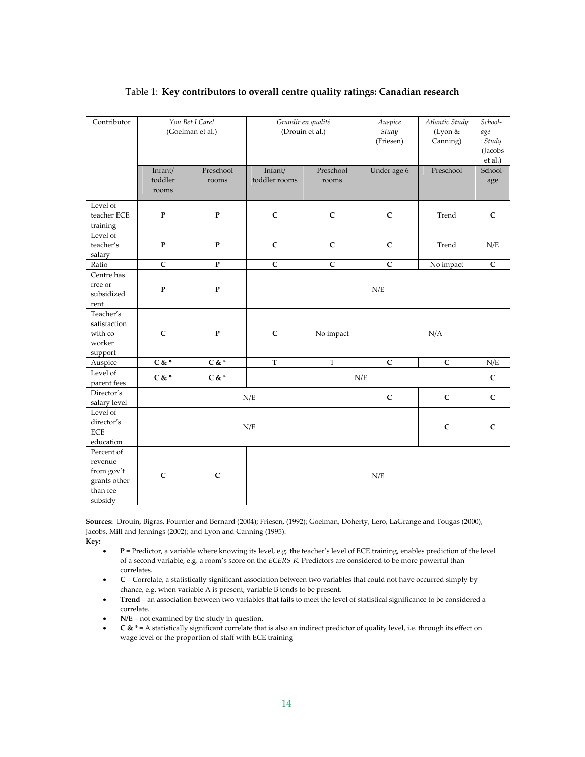| Contributor                                                                |                             | You Bet I Care!<br>(Goelman et al.) | Grandir en qualité<br>(Drouin et al.) |                    | Auspice<br>Study<br>(Friesen) | Atlantic Study<br>(Lyon &<br>Canning) | $\overline{S}$ chool-<br>age<br>Study<br>(Jacobs<br>et al.) |
|----------------------------------------------------------------------------|-----------------------------|-------------------------------------|---------------------------------------|--------------------|-------------------------------|---------------------------------------|-------------------------------------------------------------|
|                                                                            | Infant/<br>toddler<br>rooms | Preschool<br>rooms                  | Infant/<br>toddler rooms              | Preschool<br>rooms | Under age 6                   | Preschool                             | School-<br>age                                              |
| Level of<br>teacher ECE<br>training                                        | ${\bf P}$                   | ${\bf P}$                           | $\mathbf C$                           | $\mathbf C$        | $\mathbf C$                   | Trend                                 | $\mathsf{C}$                                                |
| Level of<br>teacher's<br>salary                                            | ${\bf P}$                   | ${\bf P}$                           | $\mathbf C$                           | $\mathsf{C}$       | $\mathbf C$                   | Trend                                 | N/E                                                         |
| Ratio                                                                      | $\mathsf{C}$                | ${\bf P}$                           | $\mathbf C$                           | $\mathsf{C}$       | $\mathbf C$                   | No impact                             | ${\bf C}$                                                   |
| Centre has<br>free or<br>subsidized<br>rent                                | ${\bf P}$                   | ${\bf P}$                           | N/E                                   |                    |                               |                                       |                                                             |
| Teacher's<br>satisfaction<br>with co-<br>worker<br>support                 | $\mathsf C$                 | ${\bf P}$                           | $\mathsf C$                           | No impact          |                               | N/A                                   |                                                             |
| Auspice                                                                    | $C & *$                     | $C & *$                             | $\mathbf T$                           | $\mathbf T$        | $\mathbf C$                   | $\mathbf C$                           | N/E                                                         |
| Level of<br>parent fees                                                    | $C & *$                     | $C$ & $^\ast$                       | N/E                                   |                    |                               | $\mathsf{C}$                          |                                                             |
| Director's<br>salary level                                                 | N/E                         |                                     |                                       |                    | $\mathbf C$                   | $\mathsf{C}$                          | $\mathsf{C}$                                                |
| Level of<br>director's<br><b>ECE</b><br>education                          |                             |                                     | N/E                                   |                    | $\mathbf C$                   | $\mathsf{C}$                          |                                                             |
| Percent of<br>revenue<br>from gov't<br>grants other<br>than fee<br>subsidy | $\mathbf C$                 | $\mathbf C$                         |                                       |                    | N/E                           |                                       |                                                             |

### Table 1: **Key contributors to overall centre quality ratings: Canadian research**

Sources: Drouin, Bigras, Fournier and Bernard (2004); Friesen, (1992); Goelman, Doherty, Lero, LaGrange and Tougas (2000), Jacobs, Mill and Jennings (2002); and Lyon and Canning (1995).

**Key:**

- **P** = Predictor, a variable where knowing its level, e.g. the teacher's level of ECE training, enables prediction of the level of a second variable, e.g. a room's score on the *ECERS‐R.* Predictors are considered to be more powerful than correlates.
- **C** = Correlate, a statistically significant association between two variables that could not have occurred simply by chance, e.g. when variable A is present, variable B tends to be present.
- **Trend** = an association between two variables that fails to meet the level of statistical significance to be considered a correlate.
- **N/E** = not examined by the study in question.
- **C &** \* = A statistically significant correlate that is also an indirect predictor of quality level, i.e. through its effect on wage level or the proportion of staff with ECE training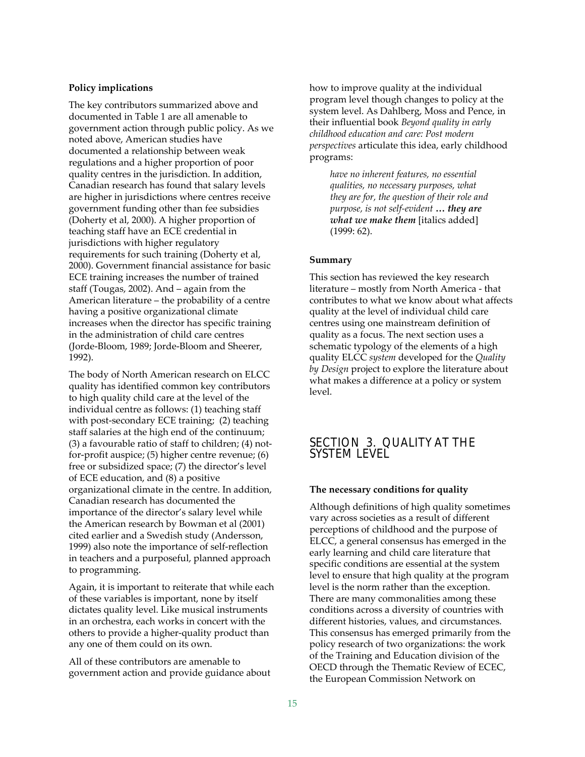#### **Policy implications**

The key contributors summarized above and documented in Table 1 are all amenable to government action through public policy. As we noted above, American studies have documented a relationship between weak regulations and a higher proportion of poor quality centres in the jurisdiction. In addition, Canadian research has found that salary levels are higher in jurisdictions where centres receive government funding other than fee subsidies (Doherty et al, 2000). A higher proportion of teaching staff have an ECE credential in jurisdictions with higher regulatory requirements for such training (Doherty et al, 2000). Government financial assistance for basic ECE training increases the number of trained staff (Tougas, 2002). And – again from the American literature – the probability of a centre having a positive organizational climate increases when the director has specific training in the administration of child care centres (Jorde‐Bloom, 1989; Jorde‐Bloom and Sheerer, 1992).

The body of North American research on ELCC quality has identified common key contributors to high quality child care at the level of the individual centre as follows: (1) teaching staff with post-secondary ECE training; (2) teaching staff salaries at the high end of the continuum; (3) a favourable ratio of staff to children; (4) not‐ for‐profit auspice; (5) higher centre revenue; (6) free or subsidized space; (7) the director's level of ECE education, and (8) a positive organizational climate in the centre. In addition, Canadian research has documented the importance of the director's salary level while the American research by Bowman et al (2001) cited earlier and a Swedish study (Andersson, 1999) also note the importance of self‐reflection in teachers and a purposeful, planned approach to programming.

Again, it is important to reiterate that while each of these variables is important, none by itself dictates quality level. Like musical instruments in an orchestra, each works in concert with the others to provide a higher‐quality product than any one of them could on its own.

All of these contributors are amenable to government action and provide guidance about

how to improve quality at the individual program level though changes to policy at the system level. As Dahlberg, Moss and Pence, in their influential book *Beyond quality in early childhood education and care: Post modern perspectives* articulate this idea, early childhood programs:

*have no inherent features, no essential qualities, no necessary purposes, what they are for, the question of their role and purpose, is not self‐evident* **…** *they are what we make them* [italics added] (1999: 62).

#### **Summary**

This section has reviewed the key research literature – mostly from North America ‐ that contributes to what we know about what affects quality at the level of individual child care centres using one mainstream definition of quality as a focus. The next section uses a schematic typology of the elements of a high quality ELCC *system* developed for the *Quality by Design* project to explore the literature about what makes a difference at a policy or system level.

## SECTION 3. QUALITY AT THE SYSTEM LEVEL

#### **The necessary conditions for quality**

Although definitions of high quality sometimes vary across societies as a result of different perceptions of childhood and the purpose of ELCC, a general consensus has emerged in the early learning and child care literature that specific conditions are essential at the system level to ensure that high quality at the program level is the norm rather than the exception. There are many commonalities among these conditions across a diversity of countries with different histories, values, and circumstances. This consensus has emerged primarily from the policy research of two organizations: the work of the Training and Education division of the OECD through the Thematic Review of ECEC, the European Commission Network on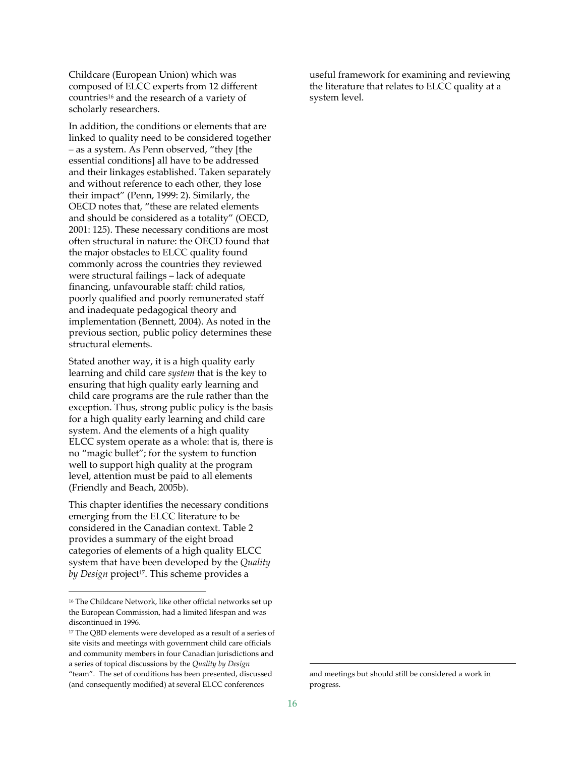Childcare (European Union) which was composed of ELCC experts from 12 different countries16 and the research of a variety of scholarly researchers.

In addition, the conditions or elements that are linked to quality need to be considered together – as a system. As Penn observed, "they [the essential conditions] all have to be addressed and their linkages established. Taken separately and without reference to each other, they lose their impact" (Penn, 1999: 2). Similarly, the OECD notes that, "these are related elements and should be considered as a totality" (OECD, 2001: 125). These necessary conditions are most often structural in nature: the OECD found that the major obstacles to ELCC quality found commonly across the countries they reviewed were structural failings – lack of adequate financing, unfavourable staff: child ratios, poorly qualified and poorly remunerated staff and inadequate pedagogical theory and implementation (Bennett, 2004). As noted in the previous section, public policy determines these structural elements.

Stated another way, it is a high quality early learning and child care *system* that is the key to ensuring that high quality early learning and child care programs are the rule rather than the exception. Thus, strong public policy is the basis for a high quality early learning and child care system. And the elements of a high quality ELCC system operate as a whole: that is, there is no "magic bullet"; for the system to function well to support high quality at the program level, attention must be paid to all elements (Friendly and Beach, 2005b).

This chapter identifies the necessary conditions emerging from the ELCC literature to be considered in the Canadian context. Table 2 provides a summary of the eight broad categories of elements of a high quality ELCC system that have been developed by the *Quality by Design* project<sup>17</sup>. This scheme provides a

 $\overline{a}$ 

useful framework for examining and reviewing the literature that relates to ELCC quality at a system level.

l

<sup>16</sup> The Childcare Network, like other official networks set up the European Commission, had a limited lifespan and was discontinued in 1996.

<sup>&</sup>lt;sup>17</sup> The OBD elements were developed as a result of a series of site visits and meetings with government child care officials and community members in four Canadian jurisdictions and a series of topical discussions by the *Quality by Design* "team". The set of conditions has been presented, discussed (and consequently modified) at several ELCC conferences

and meetings but should still be considered a work in progress.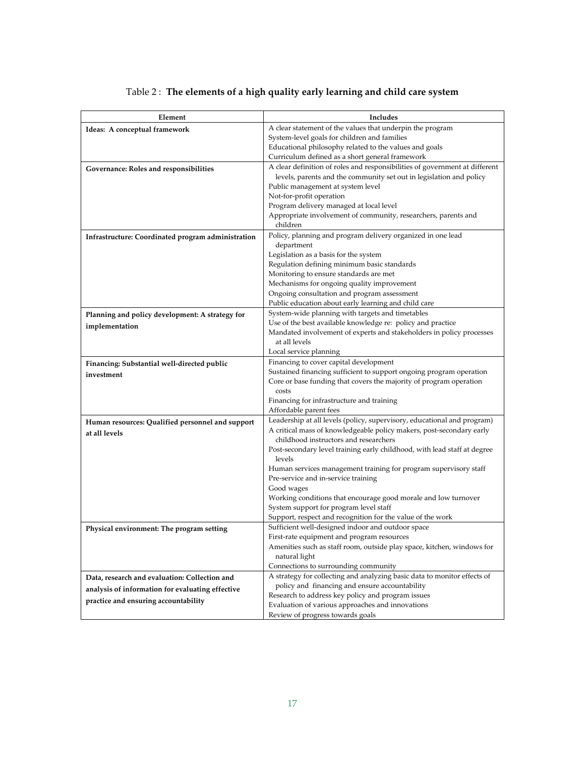| Element                                            | Includes                                                                     |
|----------------------------------------------------|------------------------------------------------------------------------------|
| Ideas: A conceptual framework                      | A clear statement of the values that underpin the program                    |
|                                                    | System-level goals for children and families                                 |
|                                                    | Educational philosophy related to the values and goals                       |
|                                                    | Curriculum defined as a short general framework                              |
| Governance: Roles and responsibilities             | A clear definition of roles and responsibilities of government at different  |
|                                                    | levels, parents and the community set out in legislation and policy          |
|                                                    | Public management at system level                                            |
|                                                    | Not-for-profit operation                                                     |
|                                                    | Program delivery managed at local level                                      |
|                                                    | Appropriate involvement of community, researchers, parents and               |
|                                                    | children                                                                     |
| Infrastructure: Coordinated program administration | Policy, planning and program delivery organized in one lead                  |
|                                                    | department                                                                   |
|                                                    | Legislation as a basis for the system                                        |
|                                                    | Regulation defining minimum basic standards                                  |
|                                                    | Monitoring to ensure standards are met                                       |
|                                                    | Mechanisms for ongoing quality improvement                                   |
|                                                    | Ongoing consultation and program assessment                                  |
|                                                    | Public education about early learning and child care                         |
| Planning and policy development: A strategy for    | System-wide planning with targets and timetables                             |
| implementation                                     | Use of the best available knowledge re: policy and practice                  |
|                                                    | Mandated involvement of experts and stakeholders in policy processes         |
|                                                    | at all levels                                                                |
|                                                    | Local service planning                                                       |
| Financing: Substantial well-directed public        | Financing to cover capital development                                       |
| investment                                         | Sustained financing sufficient to support ongoing program operation          |
|                                                    | Core or base funding that covers the majority of program operation           |
|                                                    | costs                                                                        |
|                                                    | Financing for infrastructure and training                                    |
|                                                    | Affordable parent fees                                                       |
| Human resources: Qualified personnel and support   | Leadership at all levels (policy, supervisory, educational and program)      |
| at all levels                                      | A critical mass of knowledgeable policy makers, post-secondary early         |
|                                                    | childhood instructors and researchers                                        |
|                                                    | Post-secondary level training early childhood, with lead staff at degree     |
|                                                    | levels                                                                       |
|                                                    | Human services management training for program supervisory staff             |
|                                                    | Pre-service and in-service training                                          |
|                                                    | Good wages<br>Working conditions that encourage good morale and low turnover |
|                                                    | System support for program level staff                                       |
|                                                    | Support, respect and recognition for the value of the work                   |
|                                                    | Sufficient well-designed indoor and outdoor space                            |
| Physical environment: The program setting          | First-rate equipment and program resources                                   |
|                                                    | Amenities such as staff room, outside play space, kitchen, windows for       |
|                                                    | natural light                                                                |
|                                                    | Connections to surrounding community                                         |
| Data, research and evaluation: Collection and      | A strategy for collecting and analyzing basic data to monitor effects of     |
|                                                    | policy and financing and ensure accountability                               |
| analysis of information for evaluating effective   | Research to address key policy and program issues                            |
| practice and ensuring accountability               | Evaluation of various approaches and innovations                             |
|                                                    | Review of progress towards goals                                             |

## Table 2 : **The elements of a high quality early learning and child care system**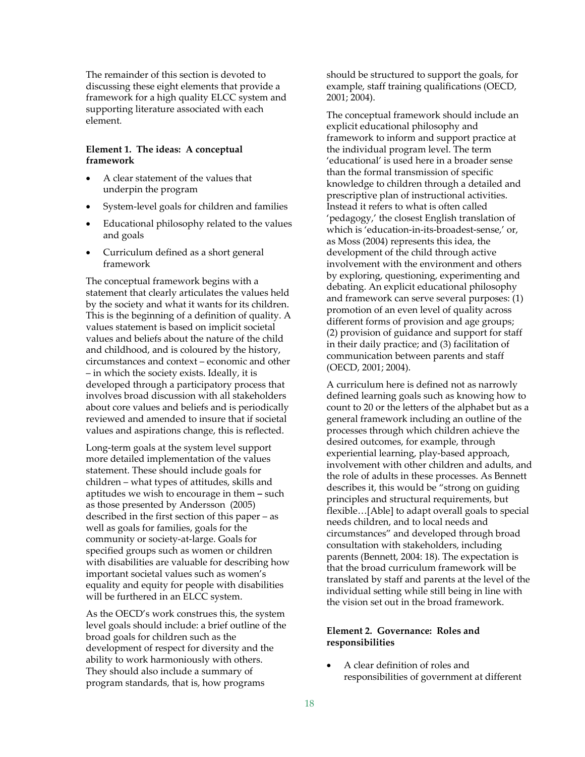The remainder of this section is devoted to discussing these eight elements that provide a framework for a high quality ELCC system and supporting literature associated with each element.

#### **Element 1. The ideas: A conceptual framework**

- A clear statement of the values that underpin the program
- System‐level goals for children and families
- Educational philosophy related to the values and goals
- Curriculum defined as a short general framework

The conceptual framework begins with a statement that clearly articulates the values held by the society and what it wants for its children. This is the beginning of a definition of quality. A values statement is based on implicit societal values and beliefs about the nature of the child and childhood, and is coloured by the history, circumstances and context – economic and other – in which the society exists. Ideally, it is developed through a participatory process that involves broad discussion with all stakeholders about core values and beliefs and is periodically reviewed and amended to insure that if societal values and aspirations change, this is reflected.

Long‐term goals at the system level support more detailed implementation of the values statement. These should include goals for children – what types of attitudes, skills and aptitudes we wish to encourage in them **–** such as those presented by Andersson (2005) described in the first section of this paper – as well as goals for families, goals for the community or society‐at‐large. Goals for specified groups such as women or children with disabilities are valuable for describing how important societal values such as women's equality and equity for people with disabilities will be furthered in an ELCC system.

As the OECD's work construes this, the system level goals should include: a brief outline of the broad goals for children such as the development of respect for diversity and the ability to work harmoniously with others. They should also include a summary of program standards, that is, how programs

should be structured to support the goals, for example, staff training qualifications (OECD, 2001; 2004).

The conceptual framework should include an explicit educational philosophy and framework to inform and support practice at the individual program level. The term 'educational' is used here in a broader sense than the formal transmission of specific knowledge to children through a detailed and prescriptive plan of instructional activities. Instead it refers to what is often called 'pedagogy,' the closest English translation of which is 'education-in-its-broadest-sense,' or, as Moss (2004) represents this idea, the development of the child through active involvement with the environment and others by exploring, questioning, experimenting and debating. An explicit educational philosophy and framework can serve several purposes: (1) promotion of an even level of quality across different forms of provision and age groups; (2) provision of guidance and support for staff in their daily practice; and (3) facilitation of communication between parents and staff (OECD, 2001; 2004).

A curriculum here is defined not as narrowly defined learning goals such as knowing how to count to 20 or the letters of the alphabet but as a general framework including an outline of the processes through which children achieve the desired outcomes, for example, through experiential learning, play‐based approach, involvement with other children and adults, and the role of adults in these processes. As Bennett describes it, this would be "strong on guiding principles and structural requirements, but flexible…[Able] to adapt overall goals to special needs children, and to local needs and circumstances" and developed through broad consultation with stakeholders, including parents (Bennett, 2004: 18). The expectation is that the broad curriculum framework will be translated by staff and parents at the level of the individual setting while still being in line with the vision set out in the broad framework.

#### **Element 2. Governance: Roles and responsibilities**

• A clear definition of roles and responsibilities of government at different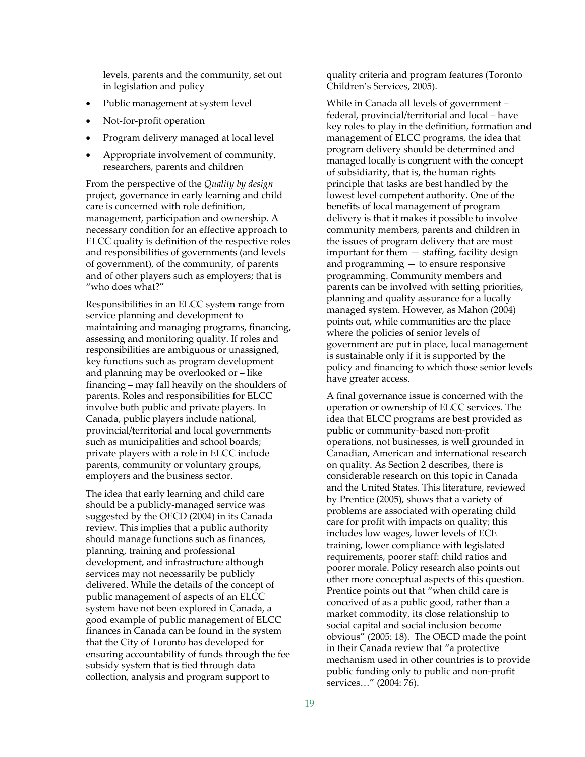levels, parents and the community, set out in legislation and policy

- Public management at system level
- Not-for-profit operation
- Program delivery managed at local level
- Appropriate involvement of community, researchers, parents and children

From the perspective of the *Quality by design* project, governance in early learning and child care is concerned with role definition, management, participation and ownership. A necessary condition for an effective approach to ELCC quality is definition of the respective roles and responsibilities of governments (and levels of government), of the community, of parents and of other players such as employers; that is "who does what?"

Responsibilities in an ELCC system range from service planning and development to maintaining and managing programs, financing, assessing and monitoring quality. If roles and responsibilities are ambiguous or unassigned, key functions such as program development and planning may be overlooked or – like financing – may fall heavily on the shoulders of parents. Roles and responsibilities for ELCC involve both public and private players. In Canada, public players include national, provincial/territorial and local governments such as municipalities and school boards; private players with a role in ELCC include parents, community or voluntary groups, employers and the business sector.

The idea that early learning and child care should be a publicly‐managed service was suggested by the OECD (2004) in its Canada review. This implies that a public authority should manage functions such as finances, planning, training and professional development, and infrastructure although services may not necessarily be publicly delivered. While the details of the concept of public management of aspects of an ELCC system have not been explored in Canada, a good example of public management of ELCC finances in Canada can be found in the system that the City of Toronto has developed for ensuring accountability of funds through the fee subsidy system that is tied through data collection, analysis and program support to

quality criteria and program features (Toronto Children's Services, 2005).

While in Canada all levels of government – federal, provincial/territorial and local – have key roles to play in the definition, formation and management of ELCC programs, the idea that program delivery should be determined and managed locally is congruent with the concept of subsidiarity, that is, the human rights principle that tasks are best handled by the lowest level competent authority. One of the benefits of local management of program delivery is that it makes it possible to involve community members, parents and children in the issues of program delivery that are most important for them — staffing, facility design and programming — to ensure responsive programming. Community members and parents can be involved with setting priorities, planning and quality assurance for a locally managed system. However, as Mahon (2004) points out, while communities are the place where the policies of senior levels of government are put in place, local management is sustainable only if it is supported by the policy and financing to which those senior levels have greater access.

A final governance issue is concerned with the operation or ownership of ELCC services. The idea that ELCC programs are best provided as public or community‐based non‐profit operations, not businesses, is well grounded in Canadian, American and international research on quality. As Section 2 describes, there is considerable research on this topic in Canada and the United States. This literature, reviewed by Prentice (2005), shows that a variety of problems are associated with operating child care for profit with impacts on quality; this includes low wages, lower levels of ECE training, lower compliance with legislated requirements, poorer staff: child ratios and poorer morale. Policy research also points out other more conceptual aspects of this question. Prentice points out that "when child care is conceived of as a public good, rather than a market commodity, its close relationship to social capital and social inclusion become obvious" (2005: 18). The OECD made the point in their Canada review that "a protective mechanism used in other countries is to provide public funding only to public and non‐profit services…" (2004: 76).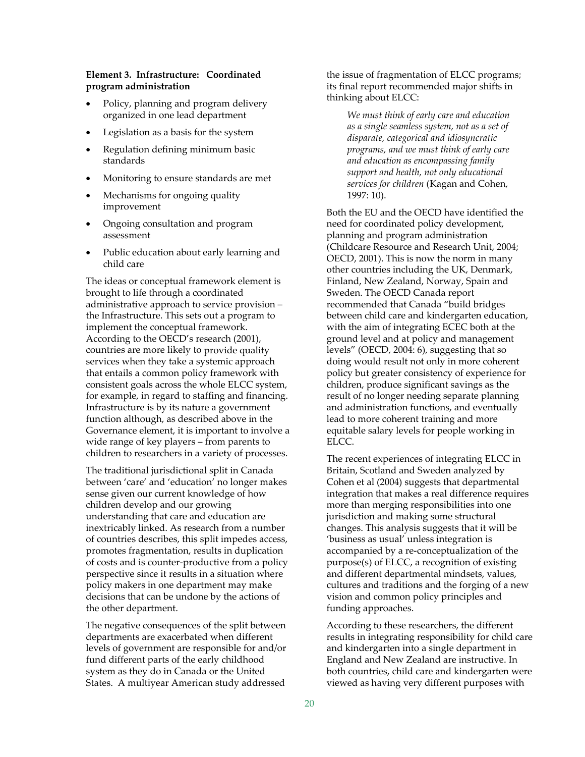#### **Element 3. Infrastructure: Coordinated program administration**

- Policy, planning and program delivery organized in one lead department
- Legislation as a basis for the system
- Regulation defining minimum basic standards
- Monitoring to ensure standards are met
- Mechanisms for ongoing quality improvement
- Ongoing consultation and program assessment
- Public education about early learning and child care

The ideas or conceptual framework element is brought to life through a coordinated administrative approach to service provision – the Infrastructure. This sets out a program to implement the conceptual framework. According to the OECD's research (2001), countries are more likely to provide quality services when they take a systemic approach that entails a common policy framework with consistent goals across the whole ELCC system, for example, in regard to staffing and financing. Infrastructure is by its nature a government function although, as described above in the Governance element, it is important to involve a wide range of key players – from parents to children to researchers in a variety of processes.

The traditional jurisdictional split in Canada between 'care' and 'education' no longer makes sense given our current knowledge of how children develop and our growing understanding that care and education are inextricably linked. As research from a number of countries describes, this split impedes access, promotes fragmentation, results in duplication of costs and is counter‐productive from a policy perspective since it results in a situation where policy makers in one department may make decisions that can be undone by the actions of the other department.

The negative consequences of the split between departments are exacerbated when different levels of government are responsible for and/or fund different parts of the early childhood system as they do in Canada or the United States. A multiyear American study addressed

the issue of fragmentation of ELCC programs; its final report recommended major shifts in thinking about ELCC:

*We must think of early care and education as a single seamless system, not as a set of disparate, categorical and idiosyncratic programs, and we must think of early care and education as encompassing family support and health, not only educational services for children* (Kagan and Cohen, 1997: 10).

Both the EU and the OECD have identified the need for coordinated policy development, planning and program administration (Childcare Resource and Research Unit, 2004; OECD, 2001). This is now the norm in many other countries including the UK, Denmark, Finland, New Zealand, Norway, Spain and Sweden. The OECD Canada report recommended that Canada "build bridges between child care and kindergarten education, with the aim of integrating ECEC both at the ground level and at policy and management levels" (OECD, 2004: 6), suggesting that so doing would result not only in more coherent policy but greater consistency of experience for children, produce significant savings as the result of no longer needing separate planning and administration functions, and eventually lead to more coherent training and more equitable salary levels for people working in ELCC.

The recent experiences of integrating ELCC in Britain, Scotland and Sweden analyzed by Cohen et al (2004) suggests that departmental integration that makes a real difference requires more than merging responsibilities into one jurisdiction and making some structural changes. This analysis suggests that it will be 'business as usual' unless integration is accompanied by a re‐conceptualization of the purpose(s) of ELCC, a recognition of existing and different departmental mindsets, values, cultures and traditions and the forging of a new vision and common policy principles and funding approaches.

According to these researchers, the different results in integrating responsibility for child care and kindergarten into a single department in England and New Zealand are instructive. In both countries, child care and kindergarten were viewed as having very different purposes with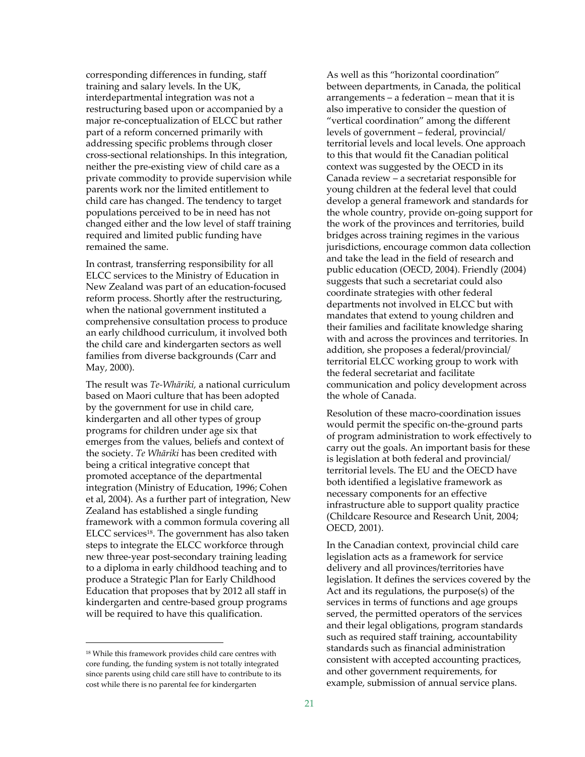corresponding differences in funding, staff training and salary levels. In the UK, interdepartmental integration was not a restructuring based upon or accompanied by a major re‐conceptualization of ELCC but rather part of a reform concerned primarily with addressing specific problems through closer cross‐sectional relationships. In this integration, neither the pre‐existing view of child care as a private commodity to provide supervision while parents work nor the limited entitlement to child care has changed. The tendency to target populations perceived to be in need has not changed either and the low level of staff training required and limited public funding have remained the same.

In contrast, transferring responsibility for all ELCC services to the Ministry of Education in New Zealand was part of an education‐focused reform process. Shortly after the restructuring, when the national government instituted a comprehensive consultation process to produce an early childhood curriculum, it involved both the child care and kindergarten sectors as well families from diverse backgrounds (Carr and May, 2000).

The result was *Te‐Whāriki,* a national curriculum based on Maori culture that has been adopted by the government for use in child care, kindergarten and all other types of group programs for children under age six that emerges from the values, beliefs and context of the society. *Te Whāriki* has been credited with being a critical integrative concept that promoted acceptance of the departmental integration (Ministry of Education, 1996; Cohen et al, 2004). As a further part of integration, New Zealand has established a single funding framework with a common formula covering all ELCC services18. The government has also taken steps to integrate the ELCC workforce through new three‐year post‐secondary training leading to a diploma in early childhood teaching and to produce a Strategic Plan for Early Childhood Education that proposes that by 2012 all staff in kindergarten and centre‐based group programs will be required to have this qualification.

 $\overline{a}$ 

As well as this "horizontal coordination" between departments, in Canada, the political arrangements – a federation – mean that it is also imperative to consider the question of "vertical coordination" among the different levels of government – federal, provincial/ territorial levels and local levels. One approach to this that would fit the Canadian political context was suggested by the OECD in its Canada review – a secretariat responsible for young children at the federal level that could develop a general framework and standards for the whole country, provide on‐going support for the work of the provinces and territories, build bridges across training regimes in the various jurisdictions, encourage common data collection and take the lead in the field of research and public education (OECD, 2004). Friendly (2004) suggests that such a secretariat could also coordinate strategies with other federal departments not involved in ELCC but with mandates that extend to young children and their families and facilitate knowledge sharing with and across the provinces and territories. In addition, she proposes a federal/provincial/ territorial ELCC working group to work with the federal secretariat and facilitate communication and policy development across the whole of Canada.

Resolution of these macro‐coordination issues would permit the specific on-the-ground parts of program administration to work effectively to carry out the goals. An important basis for these is legislation at both federal and provincial/ territorial levels. The EU and the OECD have both identified a legislative framework as necessary components for an effective infrastructure able to support quality practice (Childcare Resource and Research Unit, 2004; OECD, 2001).

In the Canadian context, provincial child care legislation acts as a framework for service delivery and all provinces/territories have legislation. It defines the services covered by the Act and its regulations, the purpose(s) of the services in terms of functions and age groups served, the permitted operators of the services and their legal obligations, program standards such as required staff training, accountability standards such as financial administration consistent with accepted accounting practices, and other government requirements, for example, submission of annual service plans.

<sup>18</sup> While this framework provides child care centres with core funding, the funding system is not totally integrated since parents using child care still have to contribute to its cost while there is no parental fee for kindergarten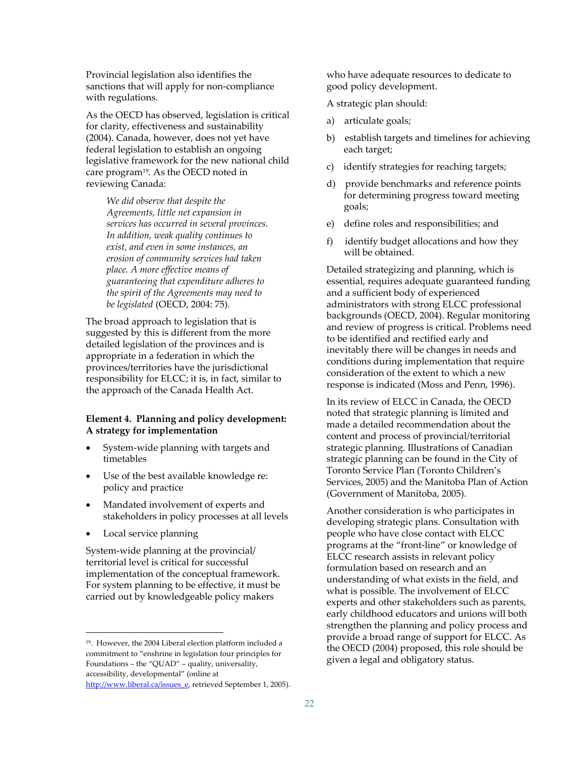Provincial legislation also identifies the sanctions that will apply for non-compliance with regulations.

As the OECD has observed, legislation is critical for clarity, effectiveness and sustainability (2004). Canada, however, does not yet have federal legislation to establish an ongoing legislative framework for the new national child care program<sup>19</sup>. As the OECD noted in reviewing Canada:

*We did observe that despite the Agreements, little net expansion in services has occurred in several provinces. In addition, weak quality continues to exist, and even in some instances, an erosion of community services had taken place. A more effective means of guaranteeing that expenditure adheres to the spirit of the Agreements may need to be legislated* (OECD, 2004: 75).

The broad approach to legislation that is suggested by this is different from the more detailed legislation of the provinces and is appropriate in a federation in which the provinces/territories have the jurisdictional responsibility for ELCC; it is, in fact, similar to the approach of the Canada Health Act.

#### **Element 4. Planning and policy development: A strategy for implementation**

- System‐wide planning with targets and timetables
- Use of the best available knowledge re: policy and practice
- Mandated involvement of experts and stakeholders in policy processes at all levels
- Local service planning

 $\overline{a}$ 

System‐wide planning at the provincial/ territorial level is critical for successful implementation of the conceptual framework. For system planning to be effective, it must be carried out by knowledgeable policy makers

who have adequate resources to dedicate to good policy development.

A strategic plan should:

- a) articulate goals;
- b) establish targets and timelines for achieving each target;
- c) identify strategies for reaching targets;
- d) provide benchmarks and reference points for determining progress toward meeting goals;
- e) define roles and responsibilities; and
- f) identify budget allocations and how they will be obtained.

Detailed strategizing and planning, which is essential, requires adequate guaranteed funding and a sufficient body of experienced administrators with strong ELCC professional backgrounds (OECD, 2004). Regular monitoring and review of progress is critical. Problems need to be identified and rectified early and inevitably there will be changes in needs and conditions during implementation that require consideration of the extent to which a new response is indicated (Moss and Penn, 1996).

In its review of ELCC in Canada, the OECD noted that strategic planning is limited and made a detailed recommendation about the content and process of provincial/territorial strategic planning. Illustrations of Canadian strategic planning can be found in the City of Toronto Service Plan (Toronto Children's Services, 2005) and the Manitoba Plan of Action (Government of Manitoba, 2005).

Another consideration is who participates in developing strategic plans. Consultation with people who have close contact with ELCC programs at the "front‐line" or knowledge of ELCC research assists in relevant policy formulation based on research and an understanding of what exists in the field, and what is possible. The involvement of ELCC experts and other stakeholders such as parents, early childhood educators and unions will both strengthen the planning and policy process and provide a broad range of support for ELCC. As the OECD (2004) proposed, this role should be given a legal and obligatory status.

<sup>19.</sup> However, the 2004 Liberal election platform included a commitment to "enshrine in legislation four principles for Foundations – the "QUAD" – quality, universality, accessibility, developmental" (online at

http://www.liberal.ca/issues\_e, retrieved September 1, 2005).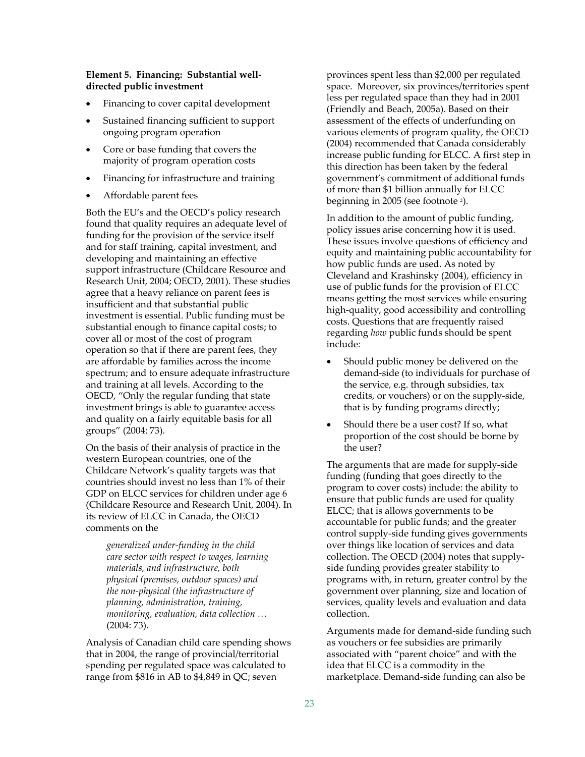#### **Element 5. Financing: Substantial well‐ directed public investment**

- Financing to cover capital development
- Sustained financing sufficient to support ongoing program operation
- Core or base funding that covers the majority of program operation costs
- Financing for infrastructure and training
- Affordable parent fees

Both the EU's and the OECD's policy research found that quality requires an adequate level of funding for the provision of the service itself and for staff training, capital investment, and developing and maintaining an effective support infrastructure (Childcare Resource and Research Unit, 2004; OECD, 2001). These studies agree that a heavy reliance on parent fees is insufficient and that substantial public investment is essential. Public funding must be substantial enough to finance capital costs; to cover all or most of the cost of program operation so that if there are parent fees, they are affordable by families across the income spectrum; and to ensure adequate infrastructure and training at all levels. According to the OECD, "Only the regular funding that state investment brings is able to guarantee access and quality on a fairly equitable basis for all groups" (2004: 73).

On the basis of their analysis of practice in the western European countries, one of the Childcare Network's quality targets was that countries should invest no less than 1% of their GDP on ELCC services for children under age 6 (Childcare Resource and Research Unit, 2004). In its review of ELCC in Canada, the OECD comments on the

*generalized under‐funding in the child care sector with respect to wages, learning materials, and infrastructure, both physical (premises, outdoor spaces) and the non‐physical (the infrastructure of planning, administration, training, monitoring, evaluation, data collection …* (2004: 73).

Analysis of Canadian child care spending shows that in 2004, the range of provincial/territorial spending per regulated space was calculated to range from \$816 in AB to \$4,849 in QC; seven

provinces spent less than \$2,000 per regulated space. Moreover, six provinces/territories spent less per regulated space than they had in 2001 (Friendly and Beach, 2005a). Based on their assessment of the effects of underfunding on various elements of program quality, the OECD (2004) recommended that Canada considerably increase public funding for ELCC. A first step in this direction has been taken by the federal government's commitment of additional funds of more than \$1 billion annually for ELCC beginning in 2005 (see footnote 2).

In addition to the amount of public funding, policy issues arise concerning how it is used. These issues involve questions of efficiency and equity and maintaining public accountability for how public funds are used. As noted by Cleveland and Krashinsky (2004), efficiency in use of public funds for the provision of ELCC means getting the most services while ensuring high‐quality, good accessibility and controlling costs. Questions that are frequently raised regarding *how* public funds should be spent include*:* 

- Should public money be delivered on the demand‐side (to individuals for purchase of the service, e.g. through subsidies, tax credits, or vouchers) or on the supply‐side, that is by funding programs directly;
- Should there be a user cost? If so, what proportion of the cost should be borne by the user?

The arguments that are made for supply‐side funding (funding that goes directly to the program to cover costs) include: the ability to ensure that public funds are used for quality ELCC; that is allows governments to be accountable for public funds; and the greater control supply‐side funding gives governments over things like location of services and data collection. The OECD (2004) notes that supply‐ side funding provides greater stability to programs with, in return, greater control by the government over planning, size and location of services, quality levels and evaluation and data collection.

Arguments made for demand‐side funding such as vouchers or fee subsidies are primarily associated with "parent choice" and with the idea that ELCC is a commodity in the marketplace. Demand‐side funding can also be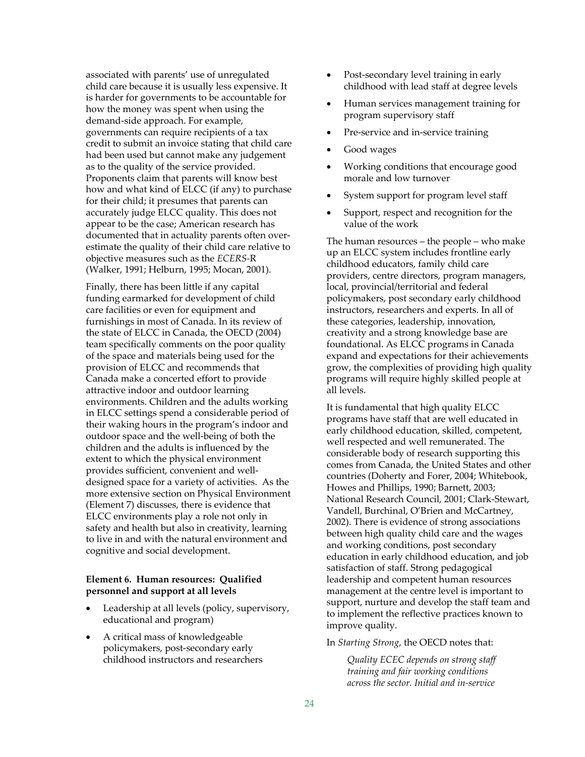associated with parents' use of unregulated child care because it is usually less expensive. It is harder for governments to be accountable for how the money was spent when using the demand‐side approach. For example, governments can require recipients of a tax credit to submit an invoice stating that child care had been used but cannot make any judgement as to the quality of the service provided. Proponents claim that parents will know best how and what kind of ELCC (if any) to purchase for their child; it presumes that parents can accurately judge ELCC quality. This does not appear to be the case; American research has documented that in actuality parents often over‐ estimate the quality of their child care relative to objective measures such as the *ECERS‐*R (Walker, 1991; Helburn, 1995; Mocan, 2001).

Finally, there has been little if any capital funding earmarked for development of child care facilities or even for equipment and furnishings in most of Canada. In its review of the state of ELCC in Canada, the OECD (2004) team specifically comments on the poor quality of the space and materials being used for the provision of ELCC and recommends that Canada make a concerted effort to provide attractive indoor and outdoor learning environments. Children and the adults working in ELCC settings spend a considerable period of their waking hours in the program's indoor and outdoor space and the well‐being of both the children and the adults is influenced by the extent to which the physical environment provides sufficient, convenient and well‐ designed space for a variety of activities. As the more extensive section on Physical Environment (Element 7) discusses, there is evidence that ELCC environments play a role not only in safety and health but also in creativity, learning to live in and with the natural environment and cognitive and social development.

#### **Element 6. Human resources: Qualified personnel and support at all levels**

- Leadership at all levels (policy, supervisory, educational and program)
- A critical mass of knowledgeable policymakers, post‐secondary early childhood instructors and researchers
- Post-secondary level training in early childhood with lead staff at degree levels
- Human services management training for program supervisory staff
- Pre-service and in-service training
- Good wages
- Working conditions that encourage good morale and low turnover
- System support for program level staff
- Support, respect and recognition for the value of the work

The human resources – the people – who make up an ELCC system includes frontline early childhood educators, family child care providers, centre directors, program managers, local, provincial/territorial and federal policymakers, post secondary early childhood instructors, researchers and experts. In all of these categories, leadership, innovation, creativity and a strong knowledge base are foundational. As ELCC programs in Canada expand and expectations for their achievements grow, the complexities of providing high quality programs will require highly skilled people at all levels.

It is fundamental that high quality ELCC programs have staff that are well educated in early childhood education, skilled, competent, well respected and well remunerated. The considerable body of research supporting this comes from Canada, the United States and other countries (Doherty and Forer, 2004; Whitebook, Howes and Phillips, 1990; Barnett, 2003; National Research Council, 2001; Clark‐Stewart, Vandell, Burchinal, O'Brien and McCartney, 2002). There is evidence of strong associations between high quality child care and the wages and working conditions, post secondary education in early childhood education, and job satisfaction of staff. Strong pedagogical leadership and competent human resources management at the centre level is important to support, nurture and develop the staff team and to implement the reflective practices known to improve quality.

#### In *Starting Strong*, the OECD notes that:

*Quality ECEC depends on strong staff training and fair working conditions across the sector. Initial and in‐service*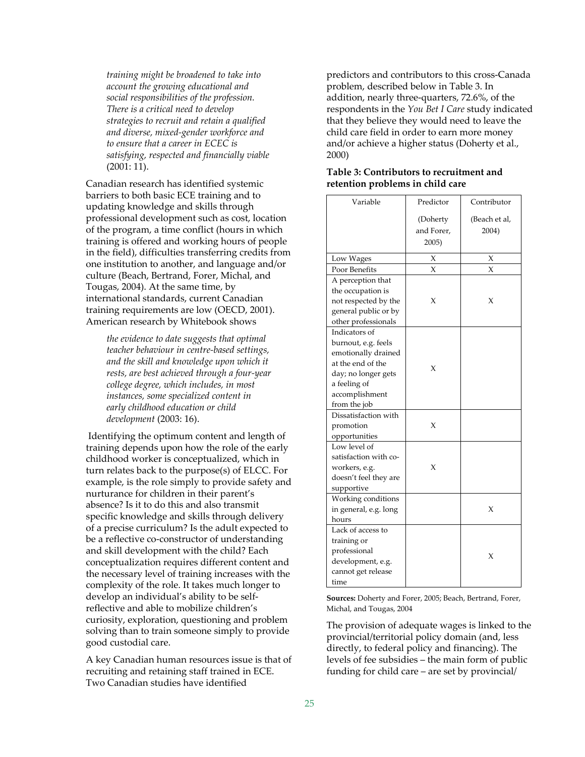*training might be broadened to take into account the growing educational and social responsibilities of the profession. There is a critical need to develop strategies to recruit and retain a qualified and diverse, mixed‐gender workforce and to ensure that a career in ECEC is satisfying, respected and financially viable* (2001: 11).

Canadian research has identified systemic barriers to both basic ECE training and to updating knowledge and skills through professional development such as cost, location of the program, a time conflict (hours in which training is offered and working hours of people in the field), difficulties transferring credits from one institution to another, and language and/or culture (Beach, Bertrand, Forer, Michal, and Tougas, 2004). At the same time, by international standards, current Canadian training requirements are low (OECD, 2001). American research by Whitebook shows

*the evidence to date suggests that optimal teacher behaviour in centre‐based settings, and the skill and knowledge upon which it rests, are best achieved through a four‐year college degree, which includes, in most instances, some specialized content in early childhood education or child development* (2003: 16).

Identifying the optimum content and length of training depends upon how the role of the early childhood worker is conceptualized, which in turn relates back to the purpose(s) of ELCC. For example, is the role simply to provide safety and nurturance for children in their parent's absence? Is it to do this and also transmit specific knowledge and skills through delivery of a precise curriculum? Is the adult expected to be a reflective co-constructor of understanding and skill development with the child? Each conceptualization requires different content and the necessary level of training increases with the complexity of the role. It takes much longer to develop an individual's ability to be self‐ reflective and able to mobilize children's curiosity, exploration, questioning and problem solving than to train someone simply to provide good custodial care.

A key Canadian human resources issue is that of recruiting and retaining staff trained in ECE. Two Canadian studies have identified

predictors and contributors to this cross‐Canada problem, described below in Table 3. In addition, nearly three‐quarters, 72.6%, of the respondents in the *You Bet I Care* study indicated that they believe they would need to leave the child care field in order to earn more money and/or achieve a higher status (Doherty et al., 2000)

| Variable                                                                                                                                                  | Predictor                       | Contributor            |
|-----------------------------------------------------------------------------------------------------------------------------------------------------------|---------------------------------|------------------------|
|                                                                                                                                                           | (Doherty<br>and Forer,<br>2005) | (Beach et al,<br>2004) |
| Low Wages                                                                                                                                                 | X                               | X                      |
| Poor Benefits                                                                                                                                             | $\chi$                          | $\chi$                 |
| A perception that<br>the occupation is<br>not respected by the<br>general public or by<br>other professionals                                             | X                               | X                      |
| Indicators of<br>burnout, e.g. feels<br>emotionally drained<br>at the end of the<br>day; no longer gets<br>a feeling of<br>accomplishment<br>from the job | X                               |                        |
| Dissatisfaction with<br>promotion<br>opportunities                                                                                                        | X                               |                        |
| Low level of<br>satisfaction with co-<br>workers, e.g.<br>doesn't feel they are<br>supportive                                                             | X                               |                        |
| Working conditions<br>in general, e.g. long<br>hours                                                                                                      |                                 | X                      |
| Lack of access to<br>training or<br>professional<br>development, e.g.<br>cannot get release<br>time                                                       |                                 | X                      |

#### **Table 3: Contributors to recruitment and retention problems in child care**

**Sources:** Doherty and Forer, 2005; Beach, Bertrand, Forer, Michal, and Tougas, 2004

The provision of adequate wages is linked to the provincial/territorial policy domain (and, less directly, to federal policy and financing). The levels of fee subsidies – the main form of public funding for child care – are set by provincial/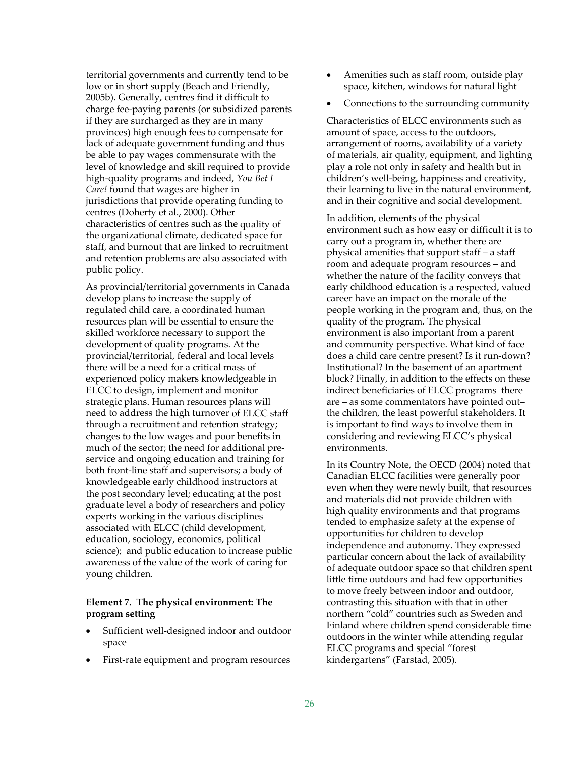territorial governments and currently tend to be low or in short supply (Beach and Friendly, 2005b). Generally, centres find it difficult to charge fee‐paying parents (or subsidized parents if they are surcharged as they are in many provinces) high enough fees to compensate for lack of adequate government funding and thus be able to pay wages commensurate with the level of knowledge and skill required to provide high‐quality programs and indeed, *You Bet I Care!* found that wages are higher in jurisdictions that provide operating funding to centres (Doherty et al., 2000). Other characteristics of centres such as the quality of the organizational climate, dedicated space for staff, and burnout that are linked to recruitment and retention problems are also associated with public policy.

As provincial/territorial governments in Canada develop plans to increase the supply of regulated child care, a coordinated human resources plan will be essential to ensure the skilled workforce necessary to support the development of quality programs. At the provincial/territorial, federal and local levels there will be a need for a critical mass of experienced policy makers knowledgeable in ELCC to design, implement and monitor strategic plans. Human resources plans will need to address the high turnover of ELCC staff through a recruitment and retention strategy; changes to the low wages and poor benefits in much of the sector; the need for additional pre‐ service and ongoing education and training for both front‐line staff and supervisors; a body of knowledgeable early childhood instructors at the post secondary level; educating at the post graduate level a body of researchers and policy experts working in the various disciplines associated with ELCC (child development, education, sociology, economics, political science); and public education to increase public awareness of the value of the work of caring for young children.

#### **Element 7. The physical environment: The program setting**

- Sufficient well-designed indoor and outdoor space
- First-rate equipment and program resources
- Amenities such as staff room, outside play space, kitchen, windows for natural light
- Connections to the surrounding community

Characteristics of ELCC environments such as amount of space, access to the outdoors, arrangement of rooms, availability of a variety of materials, air quality, equipment, and lighting play a role not only in safety and health but in children's well‐being, happiness and creativity, their learning to live in the natural environment, and in their cognitive and social development.

In addition, elements of the physical environment such as how easy or difficult it is to carry out a program in, whether there are physical amenities that support staff – a staff room and adequate program resources – and whether the nature of the facility conveys that early childhood education is a respected, valued career have an impact on the morale of the people working in the program and, thus, on the quality of the program. The physical environment is also important from a parent and community perspective. What kind of face does a child care centre present? Is it run‐down? Institutional? In the basement of an apartment block? Finally, in addition to the effects on these indirect beneficiaries of ELCC programs there are – as some commentators have pointed out– the children, the least powerful stakeholders. It is important to find ways to involve them in considering and reviewing ELCC's physical environments.

In its Country Note, the OECD (2004) noted that Canadian ELCC facilities were generally poor even when they were newly built, that resources and materials did not provide children with high quality environments and that programs tended to emphasize safety at the expense of opportunities for children to develop independence and autonomy. They expressed particular concern about the lack of availability of adequate outdoor space so that children spent little time outdoors and had few opportunities to move freely between indoor and outdoor, contrasting this situation with that in other northern "cold" countries such as Sweden and Finland where children spend considerable time outdoors in the winter while attending regular ELCC programs and special "forest kindergartens" (Farstad, 2005).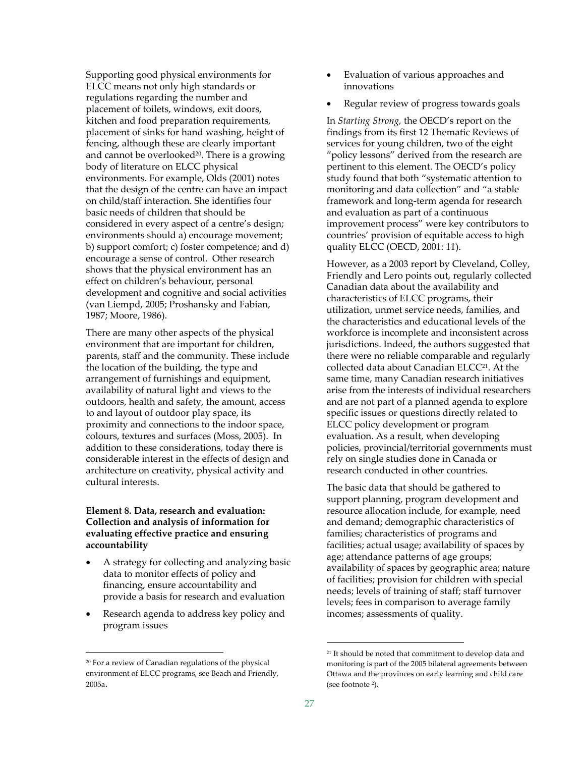Supporting good physical environments for ELCC means not only high standards or regulations regarding the number and placement of toilets, windows, exit doors, kitchen and food preparation requirements, placement of sinks for hand washing, height of fencing, although these are clearly important and cannot be overlooked<sup>20</sup>. There is a growing body of literature on ELCC physical environments. For example, Olds (2001) notes that the design of the centre can have an impact on child/staff interaction. She identifies four basic needs of children that should be considered in every aspect of a centre's design; environments should a) encourage movement; b) support comfort; c) foster competence; and d) encourage a sense of control. Other research shows that the physical environment has an effect on children's behaviour, personal development and cognitive and social activities (van Liempd, 2005; Proshansky and Fabian, 1987; Moore, 1986).

There are many other aspects of the physical environment that are important for children, parents, staff and the community. These include the location of the building, the type and arrangement of furnishings and equipment, availability of natural light and views to the outdoors, health and safety, the amount, access to and layout of outdoor play space, its proximity and connections to the indoor space, colours, textures and surfaces (Moss, 2005). In addition to these considerations, today there is considerable interest in the effects of design and architecture on creativity, physical activity and cultural interests.

#### **Element 8. Data, research and evaluation: Collection and analysis of information for evaluating effective practice and ensuring accountability**

- A strategy for collecting and analyzing basic data to monitor effects of policy and financing, ensure accountability and provide a basis for research and evaluation
- Research agenda to address key policy and program issues

 $\overline{a}$ 

- Evaluation of various approaches and innovations
- Regular review of progress towards goals

In *Starting Strong,* the OECD's report on the findings from its first 12 Thematic Reviews of services for young children, two of the eight "policy lessons" derived from the research are pertinent to this element. The OECD's policy study found that both "systematic attention to monitoring and data collection" and "a stable framework and long‐term agenda for research and evaluation as part of a continuous improvement process" were key contributors to countries' provision of equitable access to high quality ELCC (OECD, 2001: 11).

However, as a 2003 report by Cleveland, Colley, Friendly and Lero points out, regularly collected Canadian data about the availability and characteristics of ELCC programs, their utilization, unmet service needs, families, and the characteristics and educational levels of the workforce is incomplete and inconsistent across jurisdictions. Indeed, the authors suggested that there were no reliable comparable and regularly collected data about Canadian ELCC21. At the same time, many Canadian research initiatives arise from the interests of individual researchers and are not part of a planned agenda to explore specific issues or questions directly related to ELCC policy development or program evaluation. As a result, when developing policies, provincial/territorial governments must rely on single studies done in Canada or research conducted in other countries.

The basic data that should be gathered to support planning, program development and resource allocation include, for example, need and demand; demographic characteristics of families; characteristics of programs and facilities; actual usage; availability of spaces by age; attendance patterns of age groups; availability of spaces by geographic area; nature of facilities; provision for children with special needs; levels of training of staff; staff turnover levels; fees in comparison to average family incomes; assessments of quality.

<sup>20</sup> For a review of Canadian regulations of the physical environment of ELCC programs, see Beach and Friendly, 2005a.

<sup>21</sup> It should be noted that commitment to develop data and monitoring is part of the 2005 bilateral agreements between Ottawa and the provinces on early learning and child care (see footnote 2).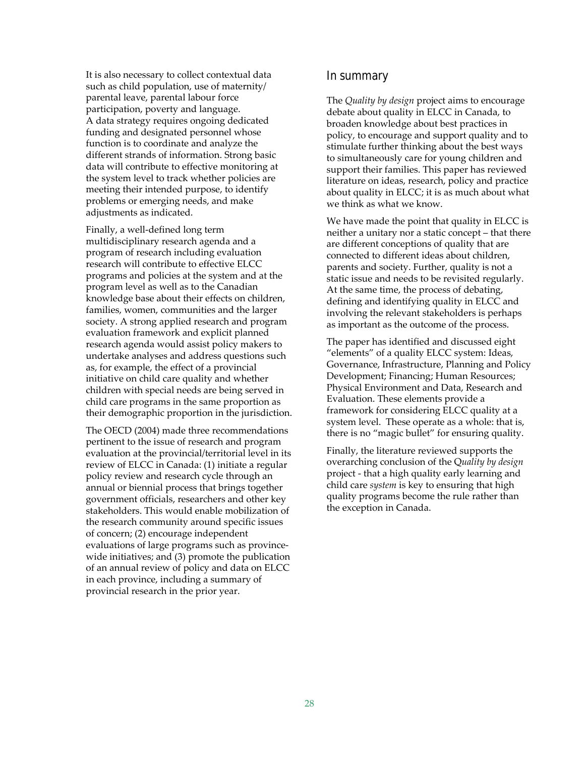It is also necessary to collect contextual data such as child population, use of maternity/ parental leave, parental labour force participation, poverty and language. A data strategy requires ongoing dedicated funding and designated personnel whose function is to coordinate and analyze the different strands of information. Strong basic data will contribute to effective monitoring at the system level to track whether policies are meeting their intended purpose, to identify problems or emerging needs, and make adjustments as indicated.

Finally, a well‐defined long term multidisciplinary research agenda and a program of research including evaluation research will contribute to effective ELCC programs and policies at the system and at the program level as well as to the Canadian knowledge base about their effects on children, families, women, communities and the larger society. A strong applied research and program evaluation framework and explicit planned research agenda would assist policy makers to undertake analyses and address questions such as, for example, the effect of a provincial initiative on child care quality and whether children with special needs are being served in child care programs in the same proportion as their demographic proportion in the jurisdiction.

The OECD (2004) made three recommendations pertinent to the issue of research and program evaluation at the provincial/territorial level in its review of ELCC in Canada: (1) initiate a regular policy review and research cycle through an annual or biennial process that brings together government officials, researchers and other key stakeholders. This would enable mobilization of the research community around specific issues of concern; (2) encourage independent evaluations of large programs such as province‐ wide initiatives; and (3) promote the publication of an annual review of policy and data on ELCC in each province, including a summary of provincial research in the prior year.

### In summary

The *Quality by design* project aims to encourage debate about quality in ELCC in Canada, to broaden knowledge about best practices in policy, to encourage and support quality and to stimulate further thinking about the best ways to simultaneously care for young children and support their families. This paper has reviewed literature on ideas, research, policy and practice about quality in ELCC; it is as much about what we think as what we know.

We have made the point that quality in ELCC is neither a unitary nor a static concept – that there are different conceptions of quality that are connected to different ideas about children, parents and society. Further, quality is not a static issue and needs to be revisited regularly. At the same time, the process of debating, defining and identifying quality in ELCC and involving the relevant stakeholders is perhaps as important as the outcome of the process.

The paper has identified and discussed eight "elements" of a quality ELCC system: Ideas, Governance, Infrastructure, Planning and Policy Development; Financing; Human Resources; Physical Environment and Data, Research and Evaluation. These elements provide a framework for considering ELCC quality at a system level. These operate as a whole: that is, there is no "magic bullet" for ensuring quality.

Finally, the literature reviewed supports the overarching conclusion of the Q*uality by design* project ‐ that a high quality early learning and child care *system* is key to ensuring that high quality programs become the rule rather than the exception in Canada.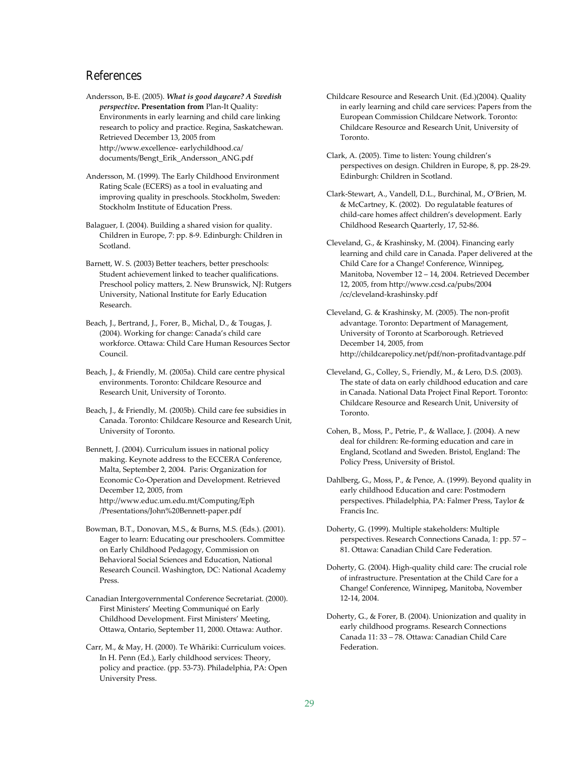## References

Andersson, B‐E. (2005). *What is good daycare? A Swedish perspective***. Presentation from** Plan‐It Quality: Environments in early learning and child care linking research to policy and practice. Regina, Saskatchewan. Retrieved December 13, 2005 from http://www.excellence‐ earlychildhood.ca/ documents/Bengt\_Erik\_Andersson\_ANG.pdf

Andersson, M. (1999). The Early Childhood Environment Rating Scale (ECERS) as a tool in evaluating and improving quality in preschools. Stockholm, Sweden: Stockholm Institute of Education Press.

Balaguer, I. (2004). Building a shared vision for quality. Children in Europe, 7: pp. 8‐9. Edinburgh: Children in Scotland.

Barnett, W. S. (2003) Better teachers, better preschools: Student achievement linked to teacher qualifications. Preschool policy matters, 2. New Brunswick, NJ: Rutgers University, National Institute for Early Education Research.

Beach, J., Bertrand, J., Forer, B., Michal, D., & Tougas, J. (2004). Working for change: Canada's child care workforce. Ottawa: Child Care Human Resources Sector Council.

Beach, J., & Friendly, M. (2005a). Child care centre physical environments. Toronto: Childcare Resource and Research Unit, University of Toronto.

Beach, J., & Friendly, M. (2005b). Child care fee subsidies in Canada. Toronto: Childcare Resource and Research Unit, University of Toronto.

Bennett, J. (2004). Curriculum issues in national policy making. Keynote address to the ECCERA Conference, Malta, September 2, 2004. Paris: Organization for Economic Co‐Operation and Development. Retrieved December 12, 2005, from http://www.educ.um.edu.mt/Computing/Eph /Presentations/John%20Bennett‐paper.pdf

Bowman, B.T., Donovan, M.S., & Burns, M.S. (Eds.). (2001). Eager to learn: Educating our preschoolers. Committee on Early Childhood Pedagogy, Commission on Behavioral Social Sciences and Education, National Research Council. Washington, DC: National Academy Press.

Canadian Intergovernmental Conference Secretariat. (2000). First Ministers' Meeting Communiqué on Early Childhood Development. First Ministers' Meeting, Ottawa, Ontario, September 11, 2000. Ottawa: Author.

Carr, M., & May, H. (2000). Te Whāriki: Curriculum voices. In H. Penn (Ed.), Early childhood services: Theory, policy and practice. (pp. 53‐73). Philadelphia, PA: Open University Press.

Childcare Resource and Research Unit. (Ed.)(2004). Quality in early learning and child care services: Papers from the European Commission Childcare Network. Toronto: Childcare Resource and Research Unit, University of Toronto.

Clark, A. (2005). Time to listen: Young children's perspectives on design. Children in Europe, 8, pp. 28‐29. Edinburgh: Children in Scotland.

Clark‐Stewart, A., Vandell, D.L., Burchinal, M., O'Brien, M. & McCartney, K. (2002). Do regulatable features of child‐care homes affect children's development. Early Childhood Research Quarterly, 17, 52‐86.

Cleveland, G., & Krashinsky, M. (2004). Financing early learning and child care in Canada. Paper delivered at the Child Care for a Change! Conference, Winnipeg, Manitoba, November 12 – 14, 2004. Retrieved December 12, 2005, from http://www.ccsd.ca/pubs/2004 /cc/cleveland‐krashinsky.pdf

Cleveland, G. & Krashinsky, M. (2005). The non‐profit advantage. Toronto: Department of Management, University of Toronto at Scarborough. Retrieved December 14, 2005, from http://childcarepolicy.net/pdf/non‐profitadvantage.pdf

Cleveland, G., Colley, S., Friendly, M., & Lero, D.S. (2003). The state of data on early childhood education and care in Canada. National Data Project Final Report. Toronto: Childcare Resource and Research Unit, University of Toronto.

Cohen, B., Moss, P., Petrie, P., & Wallace, J. (2004). A new deal for children: Re‐forming education and care in England, Scotland and Sweden. Bristol, England: The Policy Press, University of Bristol.

Dahlberg, G., Moss, P., & Pence, A. (1999). Beyond quality in early childhood Education and care: Postmodern perspectives. Philadelphia, PA: Falmer Press, Taylor & Francis Inc.

Doherty, G. (1999). Multiple stakeholders: Multiple perspectives. Research Connections Canada, 1: pp. 57 – 81. Ottawa: Canadian Child Care Federation.

Doherty, G. (2004). High‐quality child care: The crucial role of infrastructure. Presentation at the Child Care for a Change! Conference, Winnipeg, Manitoba, November 12‐14, 2004.

Doherty, G., & Forer, B. (2004). Unionization and quality in early childhood programs. Research Connections Canada 11: 33 – 78. Ottawa: Canadian Child Care Federation.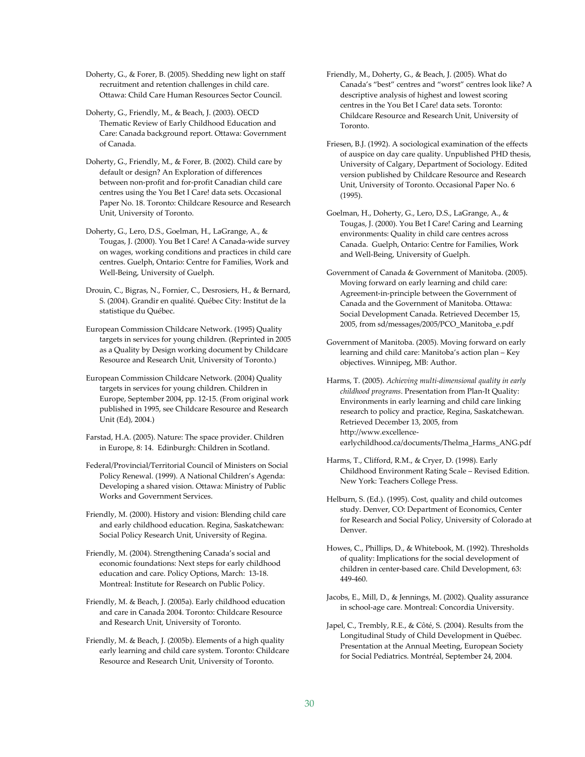Doherty, G., & Forer, B. (2005). Shedding new light on staff recruitment and retention challenges in child care. Ottawa: Child Care Human Resources Sector Council.

Doherty, G., Friendly, M., & Beach, J. (2003). OECD Thematic Review of Early Childhood Education and Care: Canada background report. Ottawa: Government of Canada.

- Doherty, G., Friendly, M., & Forer, B. (2002). Child care by default or design? An Exploration of differences between non‐profit and for‐profit Canadian child care centres using the You Bet I Care! data sets. Occasional Paper No. 18. Toronto: Childcare Resource and Research Unit, University of Toronto.
- Doherty, G., Lero, D.S., Goelman, H., LaGrange, A., & Tougas, J. (2000). You Bet I Care! A Canada‐wide survey on wages, working conditions and practices in child care centres. Guelph, Ontario: Centre for Families, Work and Well‐Being, University of Guelph.
- Drouin, C., Bigras, N., Fornier, C., Desrosiers, H., & Bernard, S. (2004). Grandir en qualité. Québec City: Institut de la statistique du Québec.
- European Commission Childcare Network. (1995) Quality targets in services for young children. (Reprinted in 2005 as a Quality by Design working document by Childcare Resource and Research Unit, University of Toronto.)
- European Commission Childcare Network. (2004) Quality targets in services for young children. Children in Europe, September 2004, pp. 12‐15. (From original work published in 1995, see Childcare Resource and Research Unit (Ed), 2004.)
- Farstad, H.A. (2005). Nature: The space provider. Children in Europe, 8: 14. Edinburgh: Children in Scotland.
- Federal/Provincial/Territorial Council of Ministers on Social Policy Renewal. (1999). A National Children's Agenda: Developing a shared vision. Ottawa: Ministry of Public Works and Government Services.
- Friendly, M. (2000). History and vision: Blending child care and early childhood education. Regina, Saskatchewan: Social Policy Research Unit, University of Regina.
- Friendly, M. (2004). Strengthening Canada's social and economic foundations: Next steps for early childhood education and care. Policy Options, March: 13‐18. Montreal: Institute for Research on Public Policy.
- Friendly, M. & Beach, J. (2005a). Early childhood education and care in Canada 2004. Toronto: Childcare Resource and Research Unit, University of Toronto.
- Friendly, M. & Beach, J. (2005b). Elements of a high quality early learning and child care system. Toronto: Childcare Resource and Research Unit, University of Toronto.
- Friendly, M., Doherty, G., & Beach, J. (2005). What do Canada's "best" centres and "worst" centres look like? A descriptive analysis of highest and lowest scoring centres in the You Bet I Care! data sets. Toronto: Childcare Resource and Research Unit, University of Toronto.
- Friesen, B.J. (1992). A sociological examination of the effects of auspice on day care quality. Unpublished PHD thesis, University of Calgary, Department of Sociology. Edited version published by Childcare Resource and Research Unit, University of Toronto. Occasional Paper No. 6 (1995).
- Goelman, H., Doherty, G., Lero, D.S., LaGrange, A., & Tougas, J. (2000). You Bet I Care! Caring and Learning environments: Quality in child care centres across Canada. Guelph, Ontario: Centre for Families, Work and Well‐Being, University of Guelph.
- Government of Canada & Government of Manitoba. (2005). Moving forward on early learning and child care: Agreement‐in‐principle between the Government of Canada and the Government of Manitoba. Ottawa: Social Development Canada. Retrieved December 15, 2005, from sd/messages/2005/PCO\_Manitoba\_e.pdf
- Government of Manitoba. (2005). Moving forward on early learning and child care: Manitoba's action plan – Key objectives. Winnipeg, MB: Author.
- Harms, T. (2005). *Achieving multi‐dimensional quality in early childhood programs*. Presentation from Plan‐It Quality: Environments in early learning and child care linking research to policy and practice, Regina, Saskatchewan. Retrieved December 13, 2005, from http://www.excellence‐ earlychildhood.ca/documents/Thelma\_Harms\_ANG.pdf
- Harms, T., Clifford, R.M., & Cryer, D. (1998). Early Childhood Environment Rating Scale – Revised Edition. New York: Teachers College Press.
- Helburn, S. (Ed.). (1995). Cost, quality and child outcomes study. Denver, CO: Department of Economics, Center for Research and Social Policy, University of Colorado at Denver.
- Howes, C., Phillips, D., & Whitebook, M. (1992). Thresholds of quality: Implications for the social development of children in center‐based care. Child Development, 63: 449‐460.
- Jacobs, E., Mill, D., & Jennings, M. (2002). Quality assurance in school‐age care. Montreal: Concordia University.
- Japel, C., Trembly, R.E., & Côté, S. (2004). Results from the Longitudinal Study of Child Development in Québec. Presentation at the Annual Meeting, European Society for Social Pediatrics. Montréal, September 24, 2004.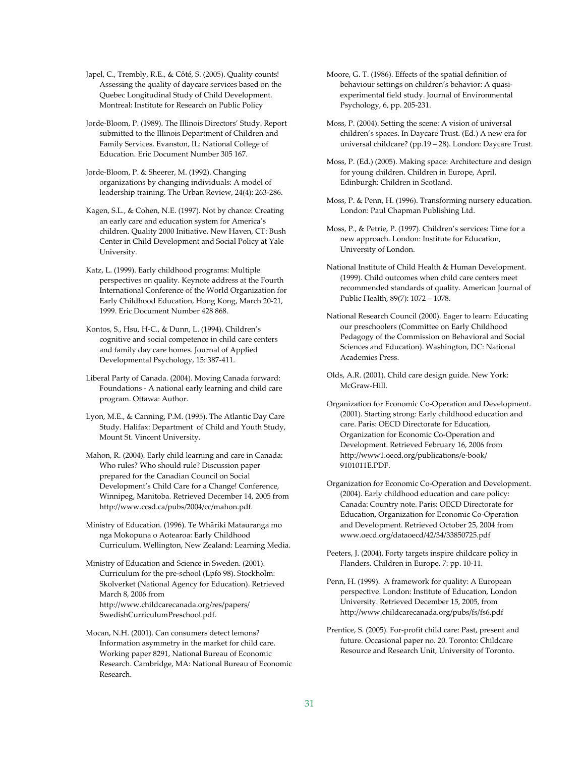Japel, C., Trembly, R.E., & Côté, S. (2005). Quality counts! Assessing the quality of daycare services based on the Quebec Longitudinal Study of Child Development. Montreal: Institute for Research on Public Policy

Jorde‐Bloom, P. (1989). The Illinois Directors' Study. Report submitted to the Illinois Department of Children and Family Services. Evanston, IL: National College of Education. Eric Document Number 305 167.

Jorde‐Bloom, P. & Sheerer, M. (1992). Changing organizations by changing individuals: A model of leadership training. The Urban Review, 24(4): 263‐286.

Kagen, S.L., & Cohen, N.E. (1997). Not by chance: Creating an early care and education system for America's children. Quality 2000 Initiative. New Haven, CT: Bush Center in Child Development and Social Policy at Yale University.

Katz, L. (1999). Early childhood programs: Multiple perspectives on quality. Keynote address at the Fourth International Conference of the World Organization for Early Childhood Education, Hong Kong, March 20‐21, 1999. Eric Document Number 428 868.

Kontos, S., Hsu, H‐C., & Dunn, L. (1994). Children's cognitive and social competence in child care centers and family day care homes. Journal of Applied Developmental Psychology, 15: 387‐411.

Liberal Party of Canada. (2004). Moving Canada forward: Foundations ‐ A national early learning and child care program. Ottawa: Author.

Lyon, M.E., & Canning, P.M. (1995). The Atlantic Day Care Study. Halifax: Department of Child and Youth Study, Mount St. Vincent University.

Mahon, R. (2004). Early child learning and care in Canada: Who rules? Who should rule? Discussion paper prepared for the Canadian Council on Social Development's Child Care for a Change! Conference, Winnipeg, Manitoba. Retrieved December 14, 2005 from http://www.ccsd.ca/pubs/2004/cc/mahon.pdf.

Ministry of Education. (1996). Te Whāriki Matauranga mo nga Mokopuna o Aotearoa: Early Childhood Curriculum. Wellington, New Zealand: Learning Media.

Ministry of Education and Science in Sweden. (2001). Curriculum for the pre‐school (Lpfö 98). Stockholm: Skolverket (National Agency for Education). Retrieved March 8, 2006 from http://www.childcarecanada.org/res/papers/ SwedishCurriculumPreschool.pdf.

Mocan, N.H. (2001). Can consumers detect lemons? Information asymmetry in the market for child care. Working paper 8291, National Bureau of Economic Research. Cambridge, MA: National Bureau of Economic Research.

Moore, G. T. (1986). Effects of the spatial definition of behaviour settings on children's behavior: A quasi‐ experimental field study. Journal of Environmental Psychology, 6, pp. 205‐231.

Moss, P. (2004). Setting the scene: A vision of universal children's spaces. In Daycare Trust. (Ed.) A new era for universal childcare? (pp.19 – 28). London: Daycare Trust.

Moss, P. (Ed.) (2005). Making space: Architecture and design for young children. Children in Europe, April. Edinburgh: Children in Scotland.

Moss, P. & Penn, H. (1996). Transforming nursery education. London: Paul Chapman Publishing Ltd.

Moss, P., & Petrie, P. (1997). Children's services: Time for a new approach. London: Institute for Education, University of London.

National Institute of Child Health & Human Development. (1999). Child outcomes when child care centers meet recommended standards of quality. American Journal of Public Health, 89(7): 1072 – 1078.

National Research Council (2000). Eager to learn: Educating our preschoolers (Committee on Early Childhood Pedagogy of the Commission on Behavioral and Social Sciences and Education). Washington, DC: National Academies Press.

Olds, A.R. (2001). Child care design guide. New York: McGraw‐Hill.

Organization for Economic Co‐Operation and Development. (2001). Starting strong: Early childhood education and care. Paris: OECD Directorate for Education, Organization for Economic Co‐Operation and Development. Retrieved February 16, 2006 from http://www1.oecd.org/publications/e‐book/ 9101011E.PDF.

Organization for Economic Co‐Operation and Development. (2004). Early childhood education and care policy: Canada: Country note. Paris: OECD Directorate for Education, Organization for Economic Co‐Operation and Development. Retrieved October 25, 2004 from www.oecd.org/dataoecd/42/34/33850725.pdf

Peeters, J. (2004). Forty targets inspire childcare policy in Flanders. Children in Europe, 7: pp. 10‐11.

Penn, H. (1999). A framework for quality: A European perspective. London: Institute of Education, London University. Retrieved December 15, 2005, from http://www.childcarecanada.org/pubs/fs/fs6.pdf

Prentice, S. (2005). For‐profit child care: Past, present and future. Occasional paper no. 20. Toronto: Childcare Resource and Research Unit, University of Toronto.